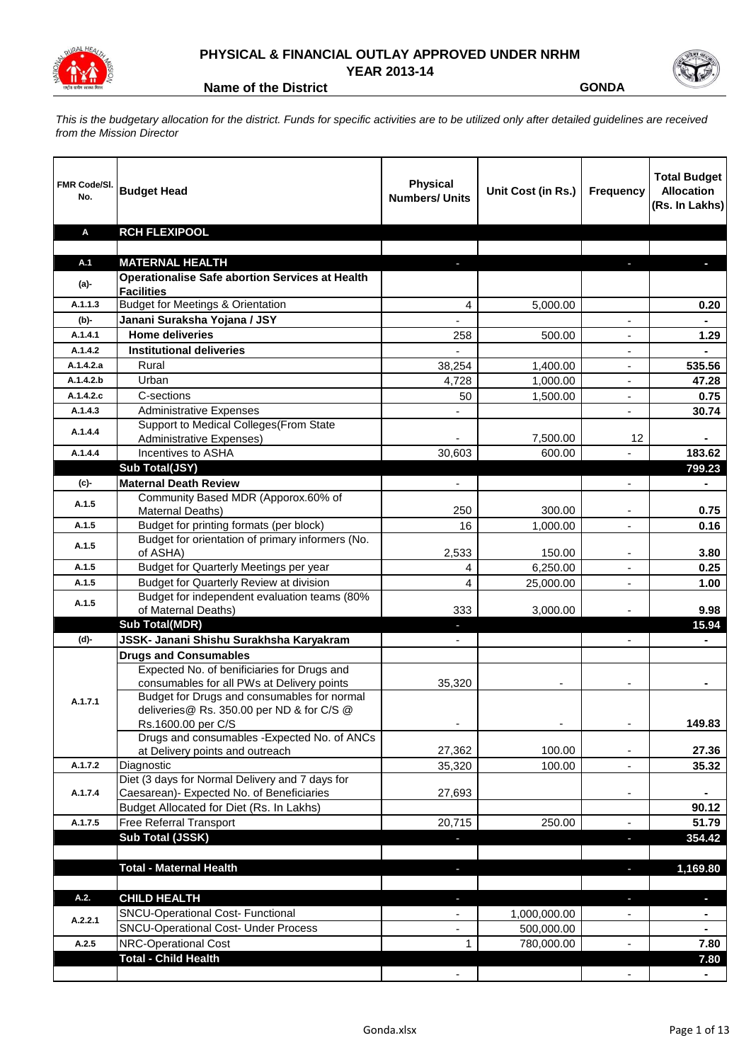

## **PHYSICAL & FINANCIAL OUTLAY APPROVED UNDER NRHM YEAR 2013-14**



**Name of the District CONDA** 

*This is the budgetary allocation for the district. Funds for specific activities are to be utilized only after detailed guidelines are received from the Mission Director*

| FMR Code/SI.<br>No. | <b>Budget Head</b>                                                                           | <b>Physical</b><br><b>Numbers/ Units</b> | Unit Cost (in Rs.) | Frequency                | <b>Total Budget</b><br><b>Allocation</b><br>(Rs. In Lakhs) |
|---------------------|----------------------------------------------------------------------------------------------|------------------------------------------|--------------------|--------------------------|------------------------------------------------------------|
| Α                   | <b>RCH FLEXIPOOL</b>                                                                         |                                          |                    |                          |                                                            |
| A.1                 | <b>MATERNAL HEALTH</b>                                                                       | ÷                                        |                    | T.                       | $\blacksquare$                                             |
|                     | <b>Operationalise Safe abortion Services at Health</b>                                       |                                          |                    |                          |                                                            |
| $(a)$ -             | <b>Facilities</b>                                                                            |                                          |                    |                          |                                                            |
| A.1.1.3             | <b>Budget for Meetings &amp; Orientation</b>                                                 | 4                                        | 5,000.00           |                          | 0.20                                                       |
| (b)-                | Janani Suraksha Yojana / JSY                                                                 |                                          |                    | ٠                        |                                                            |
| A.1.4.1             | <b>Home deliveries</b>                                                                       | 258                                      | 500.00             |                          | 1.29                                                       |
| A.1.4.2             | <b>Institutional deliveries</b>                                                              |                                          |                    |                          |                                                            |
| A.1.4.2.a           | Rural                                                                                        | 38,254                                   | 1,400.00           | ٠                        | 535.56                                                     |
| A.1.4.2.b           | Urban                                                                                        | 4,728                                    | 1,000.00           | ٠                        | 47.28                                                      |
| A.1.4.2.c           | C-sections                                                                                   | 50                                       | 1,500.00           | ٠                        | 0.75                                                       |
| A.1.4.3             | <b>Administrative Expenses</b>                                                               |                                          |                    | $\overline{a}$           | 30.74                                                      |
| A.1.4.4             | Support to Medical Colleges (From State                                                      |                                          |                    |                          |                                                            |
|                     | <b>Administrative Expenses)</b>                                                              |                                          | 7,500.00           | 12                       |                                                            |
| A.1.4.4             | Incentives to ASHA                                                                           | 30,603                                   | 600.00             | $\overline{a}$           | 183.62                                                     |
|                     | Sub Total(JSY)                                                                               |                                          |                    |                          | 799.23                                                     |
| (c)                 | <b>Maternal Death Review</b><br>Community Based MDR (Apporox.60% of                          | $\blacksquare$                           |                    | ÷,                       | ۰                                                          |
| A.1.5               | Maternal Deaths)                                                                             | 250                                      | 300.00             |                          | 0.75                                                       |
| A.1.5               | Budget for printing formats (per block)                                                      | 16                                       | 1,000.00           |                          | 0.16                                                       |
|                     | Budget for orientation of primary informers (No.                                             |                                          |                    |                          |                                                            |
| A.1.5               | of ASHA)                                                                                     | 2,533                                    | 150.00             |                          | 3.80                                                       |
| A.1.5               | Budget for Quarterly Meetings per year                                                       | 4                                        | 6,250.00           |                          | 0.25                                                       |
| A.1.5               | <b>Budget for Quarterly Review at division</b>                                               | 4                                        | 25,000.00          |                          | 1.00                                                       |
| A.1.5               | Budget for independent evaluation teams (80%                                                 |                                          |                    |                          |                                                            |
|                     | of Maternal Deaths)                                                                          | 333                                      | 3,000.00           |                          | 9.98                                                       |
|                     | <b>Sub Total(MDR)</b>                                                                        | J,                                       |                    |                          | 15.94                                                      |
| (d)-                | JSSK- Janani Shishu Surakhsha Karyakram                                                      |                                          |                    |                          |                                                            |
|                     | <b>Drugs and Consumables</b>                                                                 |                                          |                    |                          |                                                            |
|                     | Expected No. of benificiaries for Drugs and<br>consumables for all PWs at Delivery points    | 35,320                                   |                    | ٠                        |                                                            |
|                     | Budget for Drugs and consumables for normal                                                  |                                          |                    |                          |                                                            |
| A.1.7.1             | deliveries@ Rs. 350.00 per ND & for C/S @                                                    |                                          |                    |                          |                                                            |
|                     | Rs.1600.00 per C/S                                                                           | ٠                                        |                    | ۰                        | 149.83                                                     |
|                     | Drugs and consumables - Expected No. of ANCs                                                 |                                          |                    |                          |                                                            |
|                     | at Delivery points and outreach                                                              | 27,362                                   | 100.00             |                          | 27.36                                                      |
| A.1.7.2             | Diagnostic                                                                                   | 35,320                                   | 100.00             |                          | 35.32                                                      |
| A.1.7.4             | Diet (3 days for Normal Delivery and 7 days for<br>Caesarean)- Expected No. of Beneficiaries | 27,693                                   |                    | ۰                        |                                                            |
|                     | Budget Allocated for Diet (Rs. In Lakhs)                                                     |                                          |                    |                          | 90.12                                                      |
| A.1.7.5             | Free Referral Transport                                                                      | 20,715                                   | 250.00             | $\overline{\phantom{a}}$ | 51.79                                                      |
|                     | Sub Total (JSSK)                                                                             | ٠                                        |                    | ٠                        | 354.42                                                     |
|                     |                                                                                              |                                          |                    |                          |                                                            |
|                     | <b>Total - Maternal Health</b>                                                               | $\mathcal{L}_{\mathcal{A}}$              |                    | ٠                        | 1,169.80                                                   |
|                     |                                                                                              |                                          |                    |                          |                                                            |
| A.2.                | <b>CHILD HEALTH</b>                                                                          | ÷.                                       |                    | ٠                        | ÷.                                                         |
|                     | SNCU-Operational Cost- Functional                                                            | ٠                                        | 1,000,000.00       | $\overline{\phantom{a}}$ | $\blacksquare$                                             |
| A.2.2.1             | SNCU-Operational Cost- Under Process                                                         | $\blacksquare$                           | 500,000.00         |                          | $\blacksquare$                                             |
| A.2.5               | <b>NRC-Operational Cost</b>                                                                  | 1                                        | 780,000.00         | $\overline{\phantom{a}}$ | 7.80                                                       |
|                     | <b>Total - Child Health</b>                                                                  |                                          |                    |                          | 7.80                                                       |
|                     |                                                                                              | $\blacksquare$                           |                    | $\overline{\phantom{a}}$ | $\blacksquare$                                             |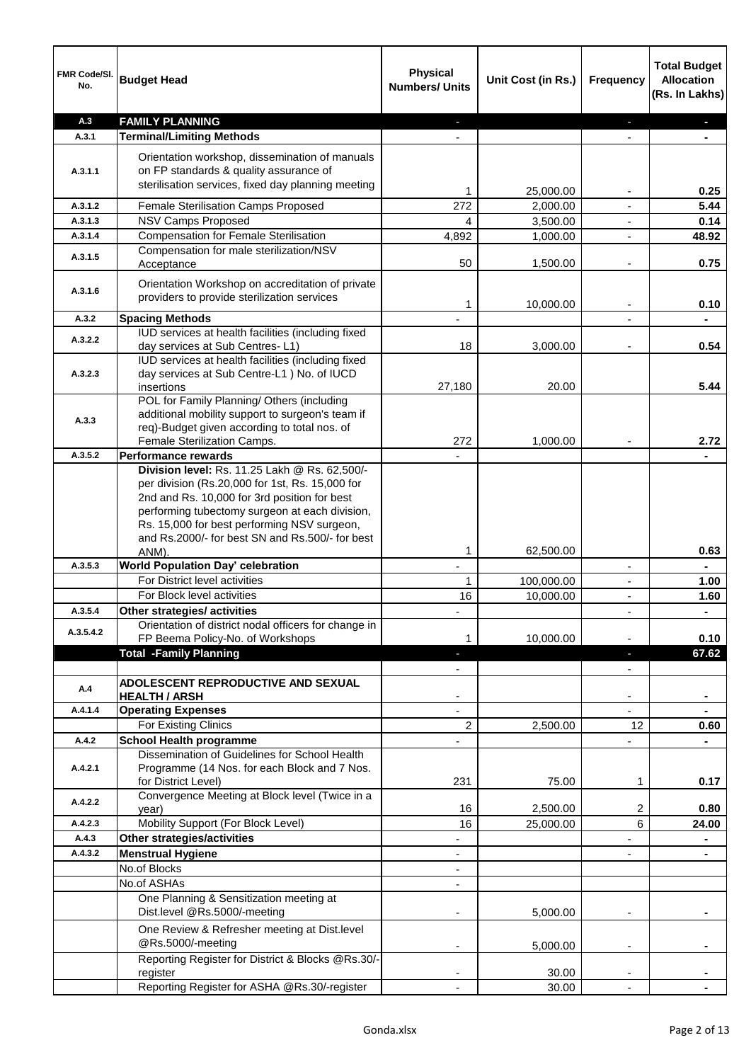| FMR Code/SI.<br>No. | <b>Budget Head</b>                                                                                                                                                                                                                                                                                   | <b>Physical</b><br><b>Numbers/ Units</b> | Unit Cost (in Rs.) | <b>Frequency</b>         | <b>Total Budget</b><br><b>Allocation</b><br>(Rs. In Lakhs) |
|---------------------|------------------------------------------------------------------------------------------------------------------------------------------------------------------------------------------------------------------------------------------------------------------------------------------------------|------------------------------------------|--------------------|--------------------------|------------------------------------------------------------|
| A.3                 | <b>FAMILY PLANNING</b>                                                                                                                                                                                                                                                                               |                                          |                    |                          |                                                            |
| A.3.1               | <b>Terminal/Limiting Methods</b>                                                                                                                                                                                                                                                                     |                                          |                    |                          |                                                            |
| A.3.1.1             | Orientation workshop, dissemination of manuals<br>on FP standards & quality assurance of<br>sterilisation services, fixed day planning meeting                                                                                                                                                       | 1                                        | 25,000.00          |                          | 0.25                                                       |
| A.3.1.2             | Female Sterilisation Camps Proposed                                                                                                                                                                                                                                                                  | 272                                      | 2,000.00           |                          | 5.44                                                       |
| A.3.1.3             | <b>NSV Camps Proposed</b>                                                                                                                                                                                                                                                                            | 4                                        | 3,500.00           |                          | 0.14                                                       |
| A.3.1.4             | <b>Compensation for Female Sterilisation</b>                                                                                                                                                                                                                                                         | 4,892                                    | 1,000.00           |                          | 48.92                                                      |
| A.3.1.5             | Compensation for male sterilization/NSV<br>Acceptance                                                                                                                                                                                                                                                | 50                                       | 1,500.00           |                          | 0.75                                                       |
| A.3.1.6             | Orientation Workshop on accreditation of private<br>providers to provide sterilization services                                                                                                                                                                                                      | 1                                        | 10,000.00          |                          | 0.10                                                       |
| A.3.2               | <b>Spacing Methods</b>                                                                                                                                                                                                                                                                               |                                          |                    |                          |                                                            |
| A.3.2.2             | IUD services at health facilities (including fixed<br>day services at Sub Centres-L1)                                                                                                                                                                                                                | 18                                       | 3,000.00           | $\blacksquare$           | 0.54                                                       |
| A.3.2.3             | IUD services at health facilities (including fixed<br>day services at Sub Centre-L1 ) No. of IUCD<br>insertions                                                                                                                                                                                      | 27,180                                   | 20.00              |                          | 5.44                                                       |
| A.3.3               | POL for Family Planning/ Others (including<br>additional mobility support to surgeon's team if<br>req)-Budget given according to total nos. of<br>Female Sterilization Camps.                                                                                                                        | 272                                      | 1,000.00           |                          | 2.72                                                       |
| A.3.5.2             | Performance rewards                                                                                                                                                                                                                                                                                  |                                          |                    |                          |                                                            |
|                     | Division level: Rs. 11.25 Lakh @ Rs. 62,500/-<br>per division (Rs.20,000 for 1st, Rs. 15,000 for<br>2nd and Rs. 10,000 for 3rd position for best<br>performing tubectomy surgeon at each division,<br>Rs. 15,000 for best performing NSV surgeon,<br>and Rs.2000/- for best SN and Rs.500/- for best |                                          |                    |                          |                                                            |
|                     | ANM).                                                                                                                                                                                                                                                                                                | 1                                        | 62,500.00          |                          | 0.63                                                       |
| A.3.5.3             | <b>World Population Day' celebration</b>                                                                                                                                                                                                                                                             |                                          |                    | $\overline{a}$           |                                                            |
|                     | For District level activities                                                                                                                                                                                                                                                                        | $\mathbf{1}$                             | 100,000.00         | $\overline{\phantom{a}}$ | 1.00                                                       |
|                     | For Block level activities                                                                                                                                                                                                                                                                           | 16                                       | 10,000.00          | $\overline{\phantom{a}}$ | 1.60                                                       |
| A.3.5.4             | Other strategies/ activities<br>Orientation of district nodal officers for change in                                                                                                                                                                                                                 |                                          |                    |                          |                                                            |
| A.3.5.4.2           | FP Beema Policy-No. of Workshops<br><b>Total -Family Planning</b>                                                                                                                                                                                                                                    | 1                                        | 10,000.00          |                          | 0.10<br>67.62                                              |
|                     |                                                                                                                                                                                                                                                                                                      |                                          |                    |                          |                                                            |
| A.4                 | ADOLESCENT REPRODUCTIVE AND SEXUAL<br><b>HEALTH / ARSH</b>                                                                                                                                                                                                                                           |                                          |                    |                          |                                                            |
| A.4.1.4             | <b>Operating Expenses</b>                                                                                                                                                                                                                                                                            |                                          |                    |                          |                                                            |
|                     | For Existing Clinics                                                                                                                                                                                                                                                                                 | 2                                        | 2,500.00           | 12                       | 0.60                                                       |
| A.4.2               | <b>School Health programme</b><br>Dissemination of Guidelines for School Health                                                                                                                                                                                                                      |                                          |                    |                          |                                                            |
| A.4.2.1             | Programme (14 Nos. for each Block and 7 Nos.<br>for District Level)                                                                                                                                                                                                                                  | 231                                      | 75.00              | 1                        | 0.17                                                       |
| A.4.2.2             | Convergence Meeting at Block level (Twice in a<br>year)                                                                                                                                                                                                                                              | 16                                       | 2,500.00           | 2                        | 0.80                                                       |
| A.4.2.3             | Mobility Support (For Block Level)                                                                                                                                                                                                                                                                   | 16                                       | 25,000.00          | 6                        | 24.00                                                      |
| A.4.3               | Other strategies/activities                                                                                                                                                                                                                                                                          | $\overline{\phantom{a}}$                 |                    | ٠                        | $\blacksquare$                                             |
| A.4.3.2             | <b>Menstrual Hygiene</b>                                                                                                                                                                                                                                                                             | ٠                                        |                    | ٠                        | $\blacksquare$                                             |
|                     | No.of Blocks                                                                                                                                                                                                                                                                                         | ٠                                        |                    |                          |                                                            |
|                     | No.of ASHAs                                                                                                                                                                                                                                                                                          | ٠                                        |                    |                          |                                                            |
|                     | One Planning & Sensitization meeting at<br>Dist.level @Rs.5000/-meeting                                                                                                                                                                                                                              |                                          | 5,000.00           |                          |                                                            |
|                     | One Review & Refresher meeting at Dist.level<br>@Rs.5000/-meeting                                                                                                                                                                                                                                    |                                          | 5,000.00           |                          |                                                            |
|                     | Reporting Register for District & Blocks @Rs.30/-<br>register                                                                                                                                                                                                                                        |                                          | 30.00              |                          |                                                            |
|                     | Reporting Register for ASHA @Rs.30/-register                                                                                                                                                                                                                                                         |                                          | 30.00              | $\overline{\phantom{0}}$ |                                                            |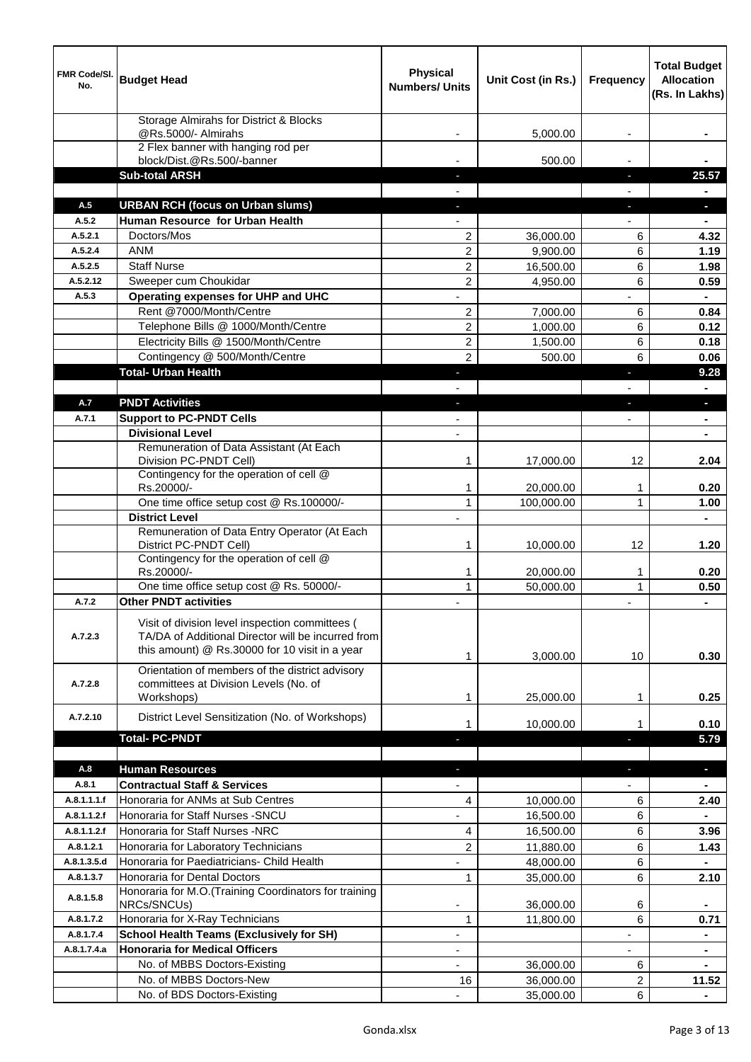| FMR Code/SI.<br>No. | <b>Budget Head</b>                                                                                                                                      | <b>Physical</b><br><b>Numbers/ Units</b> | Unit Cost (in Rs.)   | <b>Frequency</b> | <b>Total Budget</b><br><b>Allocation</b><br>(Rs. In Lakhs) |
|---------------------|---------------------------------------------------------------------------------------------------------------------------------------------------------|------------------------------------------|----------------------|------------------|------------------------------------------------------------|
|                     | Storage Almirahs for District & Blocks<br>@Rs.5000/- Almirahs                                                                                           |                                          | 5,000.00             | ٠                |                                                            |
|                     | 2 Flex banner with hanging rod per                                                                                                                      |                                          |                      |                  |                                                            |
|                     | block/Dist.@Rs.500/-banner                                                                                                                              |                                          | 500.00               |                  |                                                            |
|                     | <b>Sub-total ARSH</b>                                                                                                                                   |                                          |                      | E.               | 25.57                                                      |
|                     |                                                                                                                                                         |                                          |                      |                  |                                                            |
| A.5                 | <b>URBAN RCH (focus on Urban slums)</b>                                                                                                                 |                                          |                      | ٠                | н                                                          |
| A.5.2               | Human Resource for Urban Health                                                                                                                         |                                          |                      |                  |                                                            |
| A.5.2.1             | Doctors/Mos                                                                                                                                             | $\overline{2}$                           | 36,000.00            | 6                | 4.32                                                       |
| A.5.2.4             | <b>ANM</b>                                                                                                                                              | $\overline{2}$                           | 9,900.00             | 6                | 1.19                                                       |
| A.5.2.5             | <b>Staff Nurse</b>                                                                                                                                      | $\overline{2}$                           | 16,500.00            | 6                | 1.98                                                       |
| A.5.2.12<br>A.5.3   | Sweeper cum Choukidar                                                                                                                                   | $\overline{c}$                           | 4,950.00             | 6                | 0.59                                                       |
|                     | Operating expenses for UHP and UHC<br>Rent @7000/Month/Centre                                                                                           |                                          |                      | 6                | 0.84                                                       |
|                     | Telephone Bills @ 1000/Month/Centre                                                                                                                     | $\overline{c}$<br>$\overline{2}$         | 7,000.00<br>1,000.00 | 6                | 0.12                                                       |
|                     | Electricity Bills @ 1500/Month/Centre                                                                                                                   | $\overline{c}$                           | 1,500.00             | 6                | 0.18                                                       |
|                     | Contingency @ 500/Month/Centre                                                                                                                          | $\overline{c}$                           | 500.00               | 6                | 0.06                                                       |
|                     | <b>Total- Urban Health</b>                                                                                                                              |                                          |                      | E.               | 9.28                                                       |
|                     |                                                                                                                                                         |                                          |                      |                  |                                                            |
| A.7                 | <b>PNDT Activities</b>                                                                                                                                  |                                          |                      |                  | н                                                          |
| A.7.1               | <b>Support to PC-PNDT Cells</b>                                                                                                                         |                                          |                      |                  | $\blacksquare$                                             |
|                     | <b>Divisional Level</b>                                                                                                                                 |                                          |                      |                  |                                                            |
|                     | Remuneration of Data Assistant (At Each                                                                                                                 |                                          |                      |                  |                                                            |
|                     | Division PC-PNDT Cell)                                                                                                                                  | 1                                        | 17,000.00            | 12               | 2.04                                                       |
|                     | Contingency for the operation of cell @                                                                                                                 |                                          |                      |                  |                                                            |
|                     | Rs.20000/-                                                                                                                                              | 1                                        | 20,000.00            | 1                | 0.20                                                       |
|                     | One time office setup cost @ Rs.100000/-                                                                                                                | 1                                        | 100,000.00           | 1                | 1.00                                                       |
|                     | <b>District Level</b><br>Remuneration of Data Entry Operator (At Each                                                                                   |                                          |                      |                  |                                                            |
|                     | District PC-PNDT Cell)                                                                                                                                  | 1                                        | 10.000.00            | 12               | 1.20                                                       |
|                     | Contingency for the operation of cell @                                                                                                                 |                                          |                      |                  |                                                            |
|                     | Rs.20000/-                                                                                                                                              | 1                                        | 20,000.00            | 1                | 0.20                                                       |
|                     | One time office setup cost @ Rs. 50000/-                                                                                                                | 1                                        | 50,000.00            | 1                | 0.50                                                       |
| A.7.2               | <b>Other PNDT activities</b>                                                                                                                            |                                          |                      |                  |                                                            |
| A.7.2.3             | Visit of division level inspection committees (<br>TA/DA of Additional Director will be incurred from<br>this amount) @ Rs.30000 for 10 visit in a year | 1                                        | 3,000.00             | 10               | 0.30                                                       |
|                     | Orientation of members of the district advisory                                                                                                         |                                          |                      |                  |                                                            |
| A.7.2.8             | committees at Division Levels (No. of                                                                                                                   |                                          |                      |                  |                                                            |
|                     | Workshops)                                                                                                                                              | 1                                        | 25,000.00            | 1                | 0.25                                                       |
| A.7.2.10            | District Level Sensitization (No. of Workshops)                                                                                                         | 1                                        | 10,000.00            | 1                | 0.10                                                       |
|                     | <b>Total-PC-PNDT</b>                                                                                                                                    | J,                                       |                      | ı                | 5.79                                                       |
|                     |                                                                                                                                                         |                                          |                      |                  |                                                            |
| A.8                 | <b>Human Resources</b>                                                                                                                                  | $\blacksquare$                           |                      | ٠                | ٠                                                          |
| A.8.1               | <b>Contractual Staff &amp; Services</b>                                                                                                                 | $\blacksquare$                           |                      | ٠                | $\blacksquare$                                             |
| A.8.1.1.1.f         | Honoraria for ANMs at Sub Centres                                                                                                                       | 4                                        | 10,000.00            | 6                | 2.40                                                       |
| A.8.1.1.2.f         | Honoraria for Staff Nurses - SNCU                                                                                                                       | ä,                                       | 16,500.00            | 6                | $\blacksquare$                                             |
| A.8.1.1.2.f         | Honoraria for Staff Nurses -NRC                                                                                                                         | 4                                        | 16,500.00            | 6                | 3.96                                                       |
| A.8.1.2.1           | Honoraria for Laboratory Technicians                                                                                                                    | $\overline{c}$                           | 11,880.00            | 6                | 1.43                                                       |
| A.8.1.3.5.d         | Honoraria for Paediatricians- Child Health                                                                                                              |                                          | 48,000.00            | 6                |                                                            |
| A.8.1.3.7           | Honoraria for Dental Doctors                                                                                                                            | 1                                        | 35,000.00            | 6                | 2.10                                                       |
| A.8.1.5.8           | Honoraria for M.O.(Training Coordinators for training<br>NRCs/SNCUs)                                                                                    |                                          | 36,000.00            | 6                |                                                            |
| A.8.1.7.2           | Honoraria for X-Ray Technicians                                                                                                                         | $\mathbf{1}$                             | 11,800.00            | 6                | 0.71                                                       |
| A.8.1.7.4           | <b>School Health Teams (Exclusively for SH)</b>                                                                                                         | ٠                                        |                      |                  | $\blacksquare$                                             |
| A.8.1.7.4.a         | <b>Honoraria for Medical Officers</b>                                                                                                                   | $\overline{\phantom{a}}$                 |                      |                  |                                                            |
|                     | No. of MBBS Doctors-Existing                                                                                                                            |                                          | 36,000.00            | 6                |                                                            |
|                     | No. of MBBS Doctors-New                                                                                                                                 | 16                                       | 36,000.00            | 2                | 11.52                                                      |
|                     | No. of BDS Doctors-Existing                                                                                                                             |                                          | 35,000.00            | 6                | $\frac{1}{2}$                                              |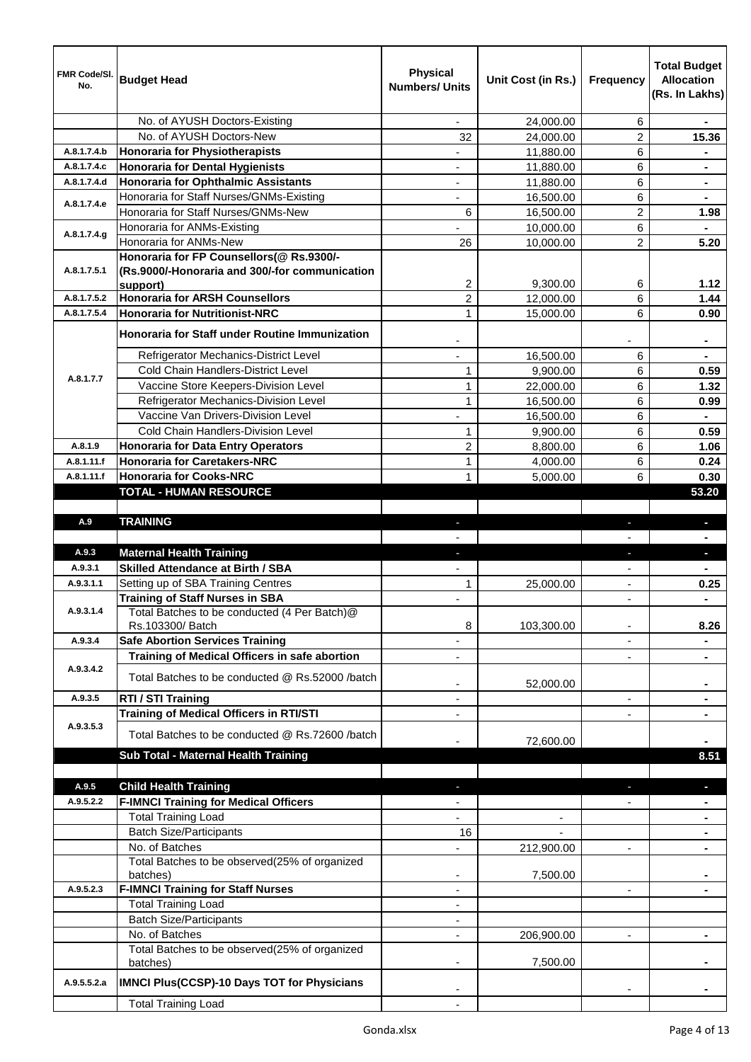| FMR Code/SI.<br>No. | <b>Budget Head</b>                                                                         | <b>Physical</b><br><b>Numbers/ Units</b> | Unit Cost (in Rs.) | <b>Frequency</b>         | <b>Total Budget</b><br><b>Allocation</b><br>(Rs. In Lakhs) |
|---------------------|--------------------------------------------------------------------------------------------|------------------------------------------|--------------------|--------------------------|------------------------------------------------------------|
|                     | No. of AYUSH Doctors-Existing                                                              |                                          | 24,000.00          | 6                        |                                                            |
|                     | No. of AYUSH Doctors-New                                                                   | 32                                       | 24,000.00          | $\overline{c}$           | 15.36                                                      |
| A.8.1.7.4.b         | <b>Honoraria for Physiotherapists</b>                                                      |                                          | 11,880.00          | 6                        |                                                            |
| A.8.1.7.4.c         | <b>Honoraria for Dental Hygienists</b>                                                     |                                          | 11,880.00          | 6                        | $\blacksquare$                                             |
| A.8.1.7.4.d         | <b>Honoraria for Ophthalmic Assistants</b>                                                 |                                          | 11,880.00          | 6                        | $\blacksquare$                                             |
| A.8.1.7.4.e         | Honoraria for Staff Nurses/GNMs-Existing                                                   |                                          | 16,500.00          | 6                        |                                                            |
|                     | Honoraria for Staff Nurses/GNMs-New                                                        | 6                                        | 16,500.00          | 2                        | 1.98                                                       |
| A.8.1.7.4.g         | Honoraria for ANMs-Existing                                                                |                                          | 10,000.00          | 6                        |                                                            |
|                     | Honoraria for ANMs-New                                                                     | 26                                       | 10,000.00          | $\overline{2}$           | 5.20                                                       |
| A.8.1.7.5.1         | Honoraria for FP Counsellors(@ Rs.9300/-<br>(Rs.9000/-Honoraria and 300/-for communication | 2                                        | 9,300.00           | 6                        | 1.12                                                       |
| A.8.1.7.5.2         | support)<br><b>Honoraria for ARSH Counsellors</b>                                          | $\overline{2}$                           | 12,000.00          | 6                        | 1.44                                                       |
| A.8.1.7.5.4         | <b>Honoraria for Nutritionist-NRC</b>                                                      | 1                                        | 15,000.00          | 6                        | 0.90                                                       |
|                     |                                                                                            |                                          |                    |                          |                                                            |
|                     | <b>Honoraria for Staff under Routine Immunization</b>                                      |                                          |                    |                          |                                                            |
|                     | Refrigerator Mechanics-District Level                                                      |                                          | 16,500.00          | 6                        |                                                            |
| A.8.1.7.7           | Cold Chain Handlers-District Level                                                         | $\mathbf{1}$                             | 9,900.00           | 6                        | 0.59                                                       |
|                     | Vaccine Store Keepers-Division Level                                                       | 1                                        | 22,000.00          | 6                        | 1.32                                                       |
|                     | Refrigerator Mechanics-Division Level                                                      | 1                                        | 16,500.00          | 6                        | 0.99                                                       |
|                     | Vaccine Van Drivers-Division Level                                                         |                                          | 16,500.00          | 6                        |                                                            |
|                     | Cold Chain Handlers-Division Level                                                         | 1                                        | 9,900.00           | 6                        | 0.59                                                       |
| A.8.1.9             | <b>Honoraria for Data Entry Operators</b>                                                  | 2                                        | 8,800.00           | 6                        | 1.06                                                       |
| A.8.1.11.f          | <b>Honoraria for Caretakers-NRC</b>                                                        | 1                                        | 4,000.00           | 6                        | 0.24                                                       |
| A.8.1.11.f          | <b>Honoraria for Cooks-NRC</b>                                                             | 1                                        | 5,000.00           | 6                        | 0.30                                                       |
|                     | <b>TOTAL - HUMAN RESOURCE</b>                                                              |                                          |                    |                          | 53.20                                                      |
|                     |                                                                                            |                                          |                    |                          |                                                            |
| A.9                 | <b>TRAINING</b>                                                                            |                                          |                    |                          |                                                            |
|                     |                                                                                            |                                          |                    |                          |                                                            |
| A.9.3               | <b>Maternal Health Training</b>                                                            |                                          |                    |                          |                                                            |
| A.9.3.1             | <b>Skilled Attendance at Birth / SBA</b>                                                   |                                          |                    |                          |                                                            |
| A.9.3.1.1           | Setting up of SBA Training Centres                                                         | $\mathbf{1}$                             | 25,000.00          |                          | 0.25                                                       |
|                     | <b>Training of Staff Nurses in SBA</b>                                                     |                                          |                    |                          |                                                            |
| A.9.3.1.4           | Total Batches to be conducted (4 Per Batch)@<br>Rs.103300/ Batch                           | 8                                        | 103,300.00         | ٠                        | 8.26                                                       |
| A.9.3.4             | <b>Safe Abortion Services Training</b>                                                     |                                          |                    |                          |                                                            |
|                     | Training of Medical Officers in safe abortion                                              |                                          |                    |                          |                                                            |
| A.9.3.4.2           | Total Batches to be conducted @ Rs.52000 /batch                                            |                                          | 52,000.00          |                          |                                                            |
| A.9.3.5             | RTI / STI Training                                                                         |                                          |                    |                          |                                                            |
|                     | <b>Training of Medical Officers in RTI/STI</b>                                             |                                          |                    |                          |                                                            |
| A.9.3.5.3           |                                                                                            |                                          |                    |                          |                                                            |
|                     | Total Batches to be conducted @ Rs.72600 /batch                                            |                                          | 72,600.00          |                          |                                                            |
|                     | Sub Total - Maternal Health Training                                                       |                                          |                    |                          | 8.51                                                       |
|                     |                                                                                            |                                          |                    |                          |                                                            |
| A.9.5               | <b>Child Health Training</b>                                                               |                                          |                    |                          |                                                            |
| A.9.5.2.2           | <b>F-IMNCI Training for Medical Officers</b>                                               |                                          |                    |                          |                                                            |
|                     | <b>Total Training Load</b>                                                                 |                                          |                    |                          |                                                            |
|                     | <b>Batch Size/Participants</b>                                                             | 16                                       |                    |                          |                                                            |
|                     | No. of Batches                                                                             |                                          | 212,900.00         |                          |                                                            |
|                     | Total Batches to be observed(25% of organized                                              |                                          |                    |                          |                                                            |
|                     | batches)                                                                                   | $\overline{\phantom{a}}$                 | 7,500.00           |                          |                                                            |
| A.9.5.2.3           | <b>F-IMNCI Training for Staff Nurses</b>                                                   | $\overline{\phantom{a}}$                 |                    | $\overline{\phantom{a}}$ | $\blacksquare$                                             |
|                     | <b>Total Training Load</b>                                                                 | $\overline{\phantom{a}}$                 |                    |                          |                                                            |
|                     | <b>Batch Size/Participants</b>                                                             | $\overline{\phantom{a}}$                 |                    |                          |                                                            |
|                     | No. of Batches                                                                             | $\overline{\phantom{a}}$                 | 206,900.00         | $\overline{\phantom{a}}$ | $\blacksquare$                                             |
|                     | Total Batches to be observed(25% of organized<br>batches)                                  |                                          | 7,500.00           |                          |                                                            |
| A.9.5.5.2.a         | <b>IMNCI Plus(CCSP)-10 Days TOT for Physicians</b>                                         |                                          |                    |                          |                                                            |
|                     | <b>Total Training Load</b>                                                                 |                                          |                    |                          |                                                            |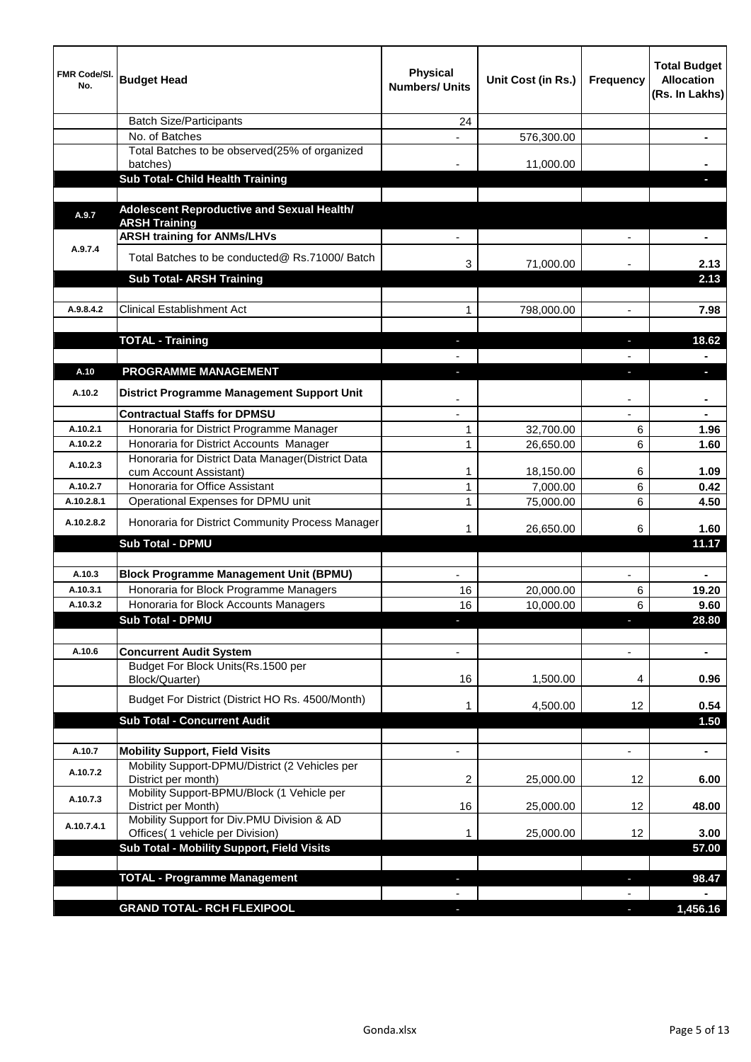| <b>FMR Code/SI.</b><br>No. | <b>Budget Head</b>                                                             | <b>Physical</b><br><b>Numbers/ Units</b> | Unit Cost (in Rs.)    | <b>Frequency</b> | <b>Total Budget</b><br><b>Allocation</b><br>(Rs. In Lakhs) |
|----------------------------|--------------------------------------------------------------------------------|------------------------------------------|-----------------------|------------------|------------------------------------------------------------|
|                            | <b>Batch Size/Participants</b>                                                 | 24                                       |                       |                  |                                                            |
|                            | No. of Batches                                                                 |                                          | 576,300.00            |                  |                                                            |
|                            | Total Batches to be observed(25% of organized<br>batches)                      |                                          | 11,000.00             |                  |                                                            |
|                            | <b>Sub Total- Child Health Training</b>                                        |                                          |                       |                  |                                                            |
|                            |                                                                                |                                          |                       |                  |                                                            |
| A.9.7                      | Adolescent Reproductive and Sexual Health/<br><b>ARSH Training</b>             |                                          |                       |                  |                                                            |
|                            | <b>ARSH training for ANMs/LHVs</b>                                             |                                          |                       |                  | $\blacksquare$                                             |
| A.9.7.4                    | Total Batches to be conducted@ Rs.71000/ Batch                                 |                                          |                       |                  |                                                            |
|                            |                                                                                | 3                                        | 71,000.00             |                  | 2.13                                                       |
|                            | <b>Sub Total- ARSH Training</b>                                                |                                          |                       |                  | 2.13                                                       |
| A.9.8.4.2                  | <b>Clinical Establishment Act</b>                                              | 1                                        | 798,000.00            |                  | 7.98                                                       |
|                            |                                                                                |                                          |                       |                  |                                                            |
|                            | <b>TOTAL - Training</b>                                                        |                                          |                       |                  | 18.62                                                      |
|                            |                                                                                |                                          |                       |                  |                                                            |
| A.10                       | PROGRAMME MANAGEMENT                                                           |                                          |                       |                  |                                                            |
| A.10.2                     | District Programme Management Support Unit                                     |                                          |                       |                  |                                                            |
|                            | <b>Contractual Staffs for DPMSU</b>                                            |                                          |                       |                  |                                                            |
| A.10.2.1                   | Honoraria for District Programme Manager                                       | $\mathbf{1}$                             | 32,700.00             | 6                | 1.96                                                       |
| A.10.2.2                   | Honoraria for District Accounts Manager                                        | 1                                        | 26,650.00             | 6                | 1.60                                                       |
| A.10.2.3                   | Honoraria for District Data Manager(District Data                              |                                          |                       |                  |                                                            |
| A.10.2.7                   | cum Account Assistant)<br>Honoraria for Office Assistant                       | $\mathbf{1}$<br>$\mathbf{1}$             | 18,150.00<br>7,000.00 | 6<br>6           | 1.09<br>0.42                                               |
| A.10.2.8.1                 | Operational Expenses for DPMU unit                                             | $\mathbf{1}$                             | 75,000.00             | 6                | 4.50                                                       |
| A.10.2.8.2                 | Honoraria for District Community Process Manager                               | 1                                        | 26,650.00             | 6                | 1.60                                                       |
|                            | <b>Sub Total - DPMU</b>                                                        |                                          |                       |                  | 11.17                                                      |
|                            |                                                                                |                                          |                       |                  |                                                            |
| A.10.3                     | <b>Block Programme Management Unit (BPMU)</b>                                  |                                          |                       |                  |                                                            |
| A.10.3.1                   | Honoraria for Block Programme Managers                                         | 16                                       | 20,000.00             | 6                | 19.20                                                      |
| A.10.3.2                   | Honoraria for Block Accounts Managers                                          | 16                                       | 10,000.00             | 6                | 9.60                                                       |
|                            | Sub Total - DPMU                                                               |                                          |                       |                  | 28.80                                                      |
|                            |                                                                                |                                          |                       |                  |                                                            |
| A.10.6                     | <b>Concurrent Audit System</b><br>Budget For Block Units(Rs.1500 per           |                                          |                       |                  | $\blacksquare$                                             |
|                            | Block/Quarter)                                                                 | 16                                       | 1,500.00              | 4                | 0.96                                                       |
|                            | Budget For District (District HO Rs. 4500/Month)                               | 1                                        | 4,500.00              | 12               | 0.54                                                       |
|                            | <b>Sub Total - Concurrent Audit</b>                                            |                                          |                       |                  | 1.50                                                       |
|                            |                                                                                |                                          |                       |                  |                                                            |
| A.10.7                     | <b>Mobility Support, Field Visits</b>                                          |                                          |                       |                  | $\blacksquare$                                             |
| A.10.7.2                   | Mobility Support-DPMU/District (2 Vehicles per<br>District per month)          | 2                                        | 25,000.00             | 12               | 6.00                                                       |
| A.10.7.3                   | Mobility Support-BPMU/Block (1 Vehicle per<br>District per Month)              | 16                                       | 25,000.00             | 12               | 48.00                                                      |
| A.10.7.4.1                 | Mobility Support for Div.PMU Division & AD<br>Offices( 1 vehicle per Division) | 1                                        | 25,000.00             | 12               | 3.00                                                       |
|                            | Sub Total - Mobility Support, Field Visits                                     |                                          |                       |                  | 57.00                                                      |
|                            |                                                                                |                                          |                       |                  |                                                            |
|                            | <b>TOTAL - Programme Management</b>                                            |                                          |                       | E.               | 98.47                                                      |
|                            | <b>GRAND TOTAL- RCH FLEXIPOOL</b>                                              |                                          |                       |                  | 1,456.16                                                   |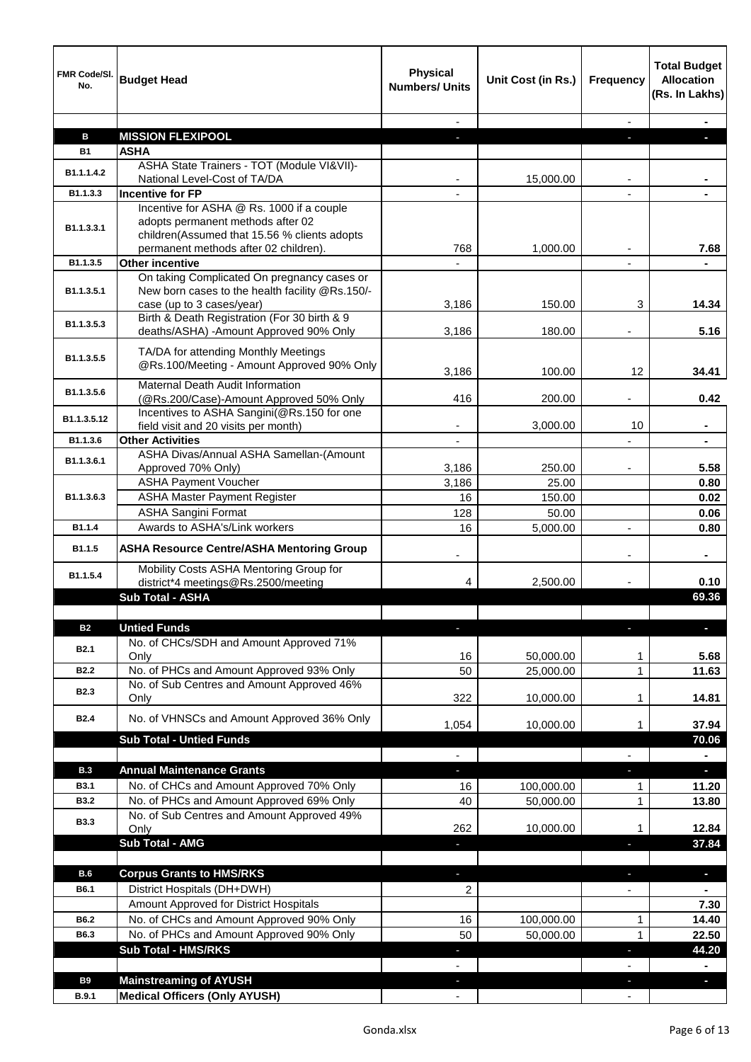| FMR Code/SI.<br>No. | <b>Budget Head</b>                                                                                                          | <b>Physical</b><br><b>Numbers/ Units</b> | Unit Cost (in Rs.) | <b>Frequency</b>         | <b>Total Budget</b><br><b>Allocation</b><br>(Rs. In Lakhs) |
|---------------------|-----------------------------------------------------------------------------------------------------------------------------|------------------------------------------|--------------------|--------------------------|------------------------------------------------------------|
|                     |                                                                                                                             | $\sim$                                   |                    | $\sim$                   |                                                            |
| в                   | <b>MISSION FLEXIPOOL</b>                                                                                                    | a.                                       |                    | a.                       |                                                            |
| <b>B1</b>           | <b>ASHA</b>                                                                                                                 |                                          |                    |                          |                                                            |
| B1.1.1.4.2          | ASHA State Trainers - TOT (Module VI&VII)-<br>National Level-Cost of TA/DA                                                  |                                          | 15,000.00          |                          |                                                            |
| B1.1.3.3            | <b>Incentive for FP</b>                                                                                                     |                                          |                    |                          |                                                            |
|                     | Incentive for ASHA @ Rs. 1000 if a couple                                                                                   |                                          |                    |                          |                                                            |
| B1.1.3.3.1          | adopts permanent methods after 02<br>children(Assumed that 15.56 % clients adopts<br>permanent methods after 02 children).  | 768                                      | 1,000.00           |                          | 7.68                                                       |
| B1.1.3.5            | <b>Other incentive</b>                                                                                                      | $\overline{\phantom{a}}$                 |                    |                          |                                                            |
| B1.1.3.5.1          | On taking Complicated On pregnancy cases or<br>New born cases to the health facility @Rs.150/-<br>case (up to 3 cases/year) | 3,186                                    | 150.00             | 3                        | 14.34                                                      |
| B1.1.3.5.3          | Birth & Death Registration (For 30 birth & 9<br>deaths/ASHA) -Amount Approved 90% Only                                      | 3,186                                    | 180.00             |                          | 5.16                                                       |
|                     |                                                                                                                             |                                          |                    |                          |                                                            |
| B1.1.3.5.5          | TA/DA for attending Monthly Meetings<br>@Rs.100/Meeting - Amount Approved 90% Only                                          | 3,186                                    | 100.00             | 12                       | 34.41                                                      |
| B1.1.3.5.6          | Maternal Death Audit Information<br>(@Rs.200/Case)-Amount Approved 50% Only                                                 | 416                                      | 200.00             |                          | 0.42                                                       |
|                     | Incentives to ASHA Sangini(@Rs.150 for one                                                                                  |                                          |                    |                          |                                                            |
| B1.1.3.5.12         | field visit and 20 visits per month)                                                                                        |                                          | 3,000.00           | 10                       |                                                            |
| B1.1.3.6            | <b>Other Activities</b>                                                                                                     |                                          |                    |                          |                                                            |
| B1.1.3.6.1          | ASHA Divas/Annual ASHA Samellan-(Amount<br>Approved 70% Only)                                                               | 3,186                                    | 250.00             | $\overline{\phantom{a}}$ | 5.58                                                       |
|                     | <b>ASHA Payment Voucher</b>                                                                                                 | 3,186                                    | 25.00              |                          | 0.80                                                       |
| B1.1.3.6.3          | <b>ASHA Master Payment Register</b>                                                                                         | 16                                       | 150.00             |                          | 0.02                                                       |
|                     | <b>ASHA Sangini Format</b>                                                                                                  | 128                                      | 50.00              |                          | 0.06                                                       |
| B1.1.4<br>B1.1.5    | Awards to ASHA's/Link workers<br><b>ASHA Resource Centre/ASHA Mentoring Group</b>                                           | 16                                       | 5,000.00           | $\overline{\phantom{a}}$ | 0.80                                                       |
| B1.1.5.4            | Mobility Costs ASHA Mentoring Group for                                                                                     |                                          |                    |                          | $\blacksquare$                                             |
|                     | district*4 meetings@Rs.2500/meeting<br><b>Sub Total - ASHA</b>                                                              | 4                                        | 2,500.00           |                          | 0.10<br>69.36                                              |
|                     |                                                                                                                             |                                          |                    |                          |                                                            |
| <b>B2</b>           | <b>Untied Funds</b>                                                                                                         | a.                                       |                    | J,                       | н                                                          |
|                     | No. of CHCs/SDH and Amount Approved 71%                                                                                     |                                          |                    |                          |                                                            |
| <b>B2.1</b>         | Only                                                                                                                        | 16                                       | 50,000.00          | 1                        | 5.68                                                       |
| <b>B2.2</b>         | No. of PHCs and Amount Approved 93% Only                                                                                    | 50                                       | 25,000.00          | 1                        | 11.63                                                      |
| <b>B2.3</b>         | No. of Sub Centres and Amount Approved 46%                                                                                  |                                          |                    |                          |                                                            |
|                     | Only                                                                                                                        | 322                                      | 10,000.00          | 1                        | 14.81                                                      |
| <b>B2.4</b>         | No. of VHNSCs and Amount Approved 36% Only                                                                                  | 1,054                                    | 10,000.00          | 1                        | 37.94                                                      |
|                     | <b>Sub Total - Untied Funds</b>                                                                                             |                                          |                    |                          | 70.06                                                      |
|                     |                                                                                                                             | $\overline{\phantom{a}}$                 |                    |                          | $\blacksquare$                                             |
| <b>B.3</b>          | <b>Annual Maintenance Grants</b>                                                                                            | $\overline{\phantom{a}}$                 |                    | E.                       | $\overline{\phantom{a}}$                                   |
| <b>B3.1</b>         | No. of CHCs and Amount Approved 70% Only                                                                                    | 16                                       | 100,000.00         | 1                        | 11.20                                                      |
| <b>B3.2</b>         | No. of PHCs and Amount Approved 69% Only                                                                                    | 40                                       | 50,000.00          | 1                        | 13.80                                                      |
| <b>B3.3</b>         | No. of Sub Centres and Amount Approved 49%<br>Only                                                                          | 262                                      | 10,000.00          | 1                        | 12.84                                                      |
|                     | Sub Total - AMG                                                                                                             | ı                                        |                    | T                        | 37.84                                                      |
|                     |                                                                                                                             |                                          |                    |                          |                                                            |
| B.6                 | <b>Corpus Grants to HMS/RKS</b>                                                                                             |                                          |                    |                          | ٠                                                          |
| B6.1                | District Hospitals (DH+DWH)                                                                                                 | 2                                        |                    |                          |                                                            |
|                     | Amount Approved for District Hospitals                                                                                      |                                          |                    |                          | 7.30                                                       |
| B6.2<br>B6.3        | No. of CHCs and Amount Approved 90% Only<br>No. of PHCs and Amount Approved 90% Only                                        | 16                                       | 100,000.00         | 1                        | 14.40                                                      |
|                     | <b>Sub Total - HMS/RKS</b>                                                                                                  | 50                                       | 50,000.00          | 1                        | 22.50<br>44.20                                             |
|                     |                                                                                                                             |                                          |                    |                          |                                                            |
| <b>B9</b>           | <b>Mainstreaming of AYUSH</b>                                                                                               |                                          |                    |                          | ÷.                                                         |
| <b>B.9.1</b>        | <b>Medical Officers (Only AYUSH)</b>                                                                                        |                                          |                    |                          |                                                            |
|                     |                                                                                                                             |                                          |                    |                          |                                                            |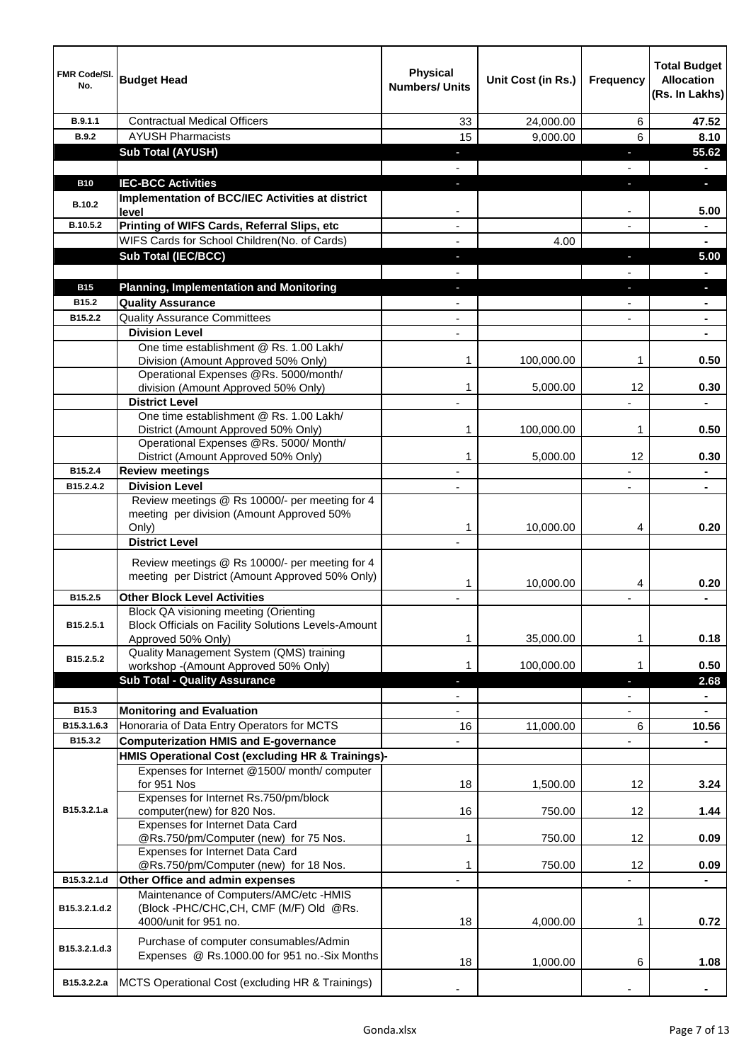| <b>Numbers/ Units</b>                                                                                                                                                | (Rs. In Lakhs) |
|----------------------------------------------------------------------------------------------------------------------------------------------------------------------|----------------|
| <b>Contractual Medical Officers</b><br>B.9.1.1<br>24,000.00<br>6<br>33                                                                                               | 47.52          |
| 15<br>6<br><b>AYUSH Pharmacists</b><br><b>B.9.2</b><br>9,000.00                                                                                                      | 8.10           |
| <b>Sub Total (AYUSH)</b><br>E.                                                                                                                                       | 55.62          |
|                                                                                                                                                                      |                |
| <b>IEC-BCC Activities</b><br><b>B10</b><br>E.<br>E.                                                                                                                  | a.             |
| <b>Implementation of BCC/IEC Activities at district</b><br><b>B.10.2</b><br>level                                                                                    | 5.00           |
| Printing of WIFS Cards, Referral Slips, etc<br>B.10.5.2                                                                                                              |                |
| WIFS Cards for School Children(No. of Cards)<br>4.00                                                                                                                 |                |
| <b>Sub Total (IEC/BCC)</b><br>÷.<br>E.                                                                                                                               | 5.00           |
|                                                                                                                                                                      |                |
| <b>B15</b><br><b>Planning, Implementation and Monitoring</b>                                                                                                         | $\blacksquare$ |
| <b>Quality Assurance</b><br>B15.2                                                                                                                                    |                |
| <b>Quality Assurance Committees</b><br>B15.2.2                                                                                                                       |                |
| <b>Division Level</b>                                                                                                                                                |                |
| One time establishment @ Rs. 1.00 Lakh/<br>Division (Amount Approved 50% Only)<br>1<br>100,000.00<br>1                                                               | 0.50           |
| Operational Expenses @Rs. 5000/month/                                                                                                                                |                |
| division (Amount Approved 50% Only)<br>1<br>12<br>5,000.00                                                                                                           | 0.30           |
| <b>District Level</b>                                                                                                                                                |                |
| One time establishment @ Rs. 1.00 Lakh/<br>District (Amount Approved 50% Only)<br>1<br>100,000.00<br>1                                                               | 0.50           |
| Operational Expenses @Rs. 5000/ Month/                                                                                                                               |                |
| District (Amount Approved 50% Only)<br>12<br>1<br>5,000.00                                                                                                           | 0.30           |
| B15.2.4<br><b>Review meetings</b>                                                                                                                                    |                |
| <b>Division Level</b><br>B15.2.4.2                                                                                                                                   |                |
| Review meetings @ Rs 10000/- per meeting for 4<br>meeting per division (Amount Approved 50%<br>Only)<br>1<br>10,000.00<br>4                                          | 0.20           |
| <b>District Level</b>                                                                                                                                                |                |
| Review meetings @ Rs 10000/- per meeting for 4<br>meeting per District (Amount Approved 50% Only)<br>10,000.00<br>1<br>4                                             | 0.20           |
| <b>Other Block Level Activities</b><br>B15.2.5                                                                                                                       |                |
| <b>Block QA visioning meeting (Orienting</b><br>B15.2.5.1<br><b>Block Officials on Facility Solutions Levels-Amount</b><br>Approved 50% Only)<br>1<br>35,000.00<br>1 | 0.18           |
| Quality Management System (QMS) training<br>B15.2.5.2<br>100,000.00<br>workshop - (Amount Approved 50% Only)<br>1<br>1                                               | 0.50           |
| <b>Sub Total - Quality Assurance</b>                                                                                                                                 | 2.68           |
|                                                                                                                                                                      |                |
| B15.3<br><b>Monitoring and Evaluation</b>                                                                                                                            |                |
| B15.3.1.6.3<br>Honoraria of Data Entry Operators for MCTS<br>16<br>11,000.00<br>6                                                                                    | 10.56          |
| B15.3.2<br><b>Computerization HMIS and E-governance</b>                                                                                                              |                |
| HMIS Operational Cost (excluding HR & Trainings)-                                                                                                                    |                |
| Expenses for Internet @1500/month/computer                                                                                                                           |                |
| for 951 Nos<br>18<br>12<br>1,500.00                                                                                                                                  | 3.24           |
| Expenses for Internet Rs.750/pm/block<br>B15.3.2.1.a<br>computer(new) for 820 Nos.<br>16<br>12<br>750.00                                                             | 1.44           |
| Expenses for Internet Data Card<br>@Rs.750/pm/Computer (new) for 75 Nos.<br>1<br>750.00<br>12                                                                        | 0.09           |
| Expenses for Internet Data Card<br>@Rs.750/pm/Computer (new) for 18 Nos.<br>1<br>750.00<br>12                                                                        | 0.09           |
| Other Office and admin expenses<br>B15.3.2.1.d                                                                                                                       |                |
| Maintenance of Computers/AMC/etc -HMIS<br>(Block -PHC/CHC,CH, CMF (M/F) Old @Rs.<br>B15.3.2.1.d.2                                                                    |                |
| 4000/unit for 951 no.<br>18<br>4,000.00<br>1                                                                                                                         | 0.72           |
| Purchase of computer consumables/Admin<br>B15.3.2.1.d.3<br>Expenses @ Rs.1000.00 for 951 no.-Six Months<br>18<br>1,000.00<br>6                                       | 1.08           |
| MCTS Operational Cost (excluding HR & Trainings)<br>B15.3.2.2.a                                                                                                      |                |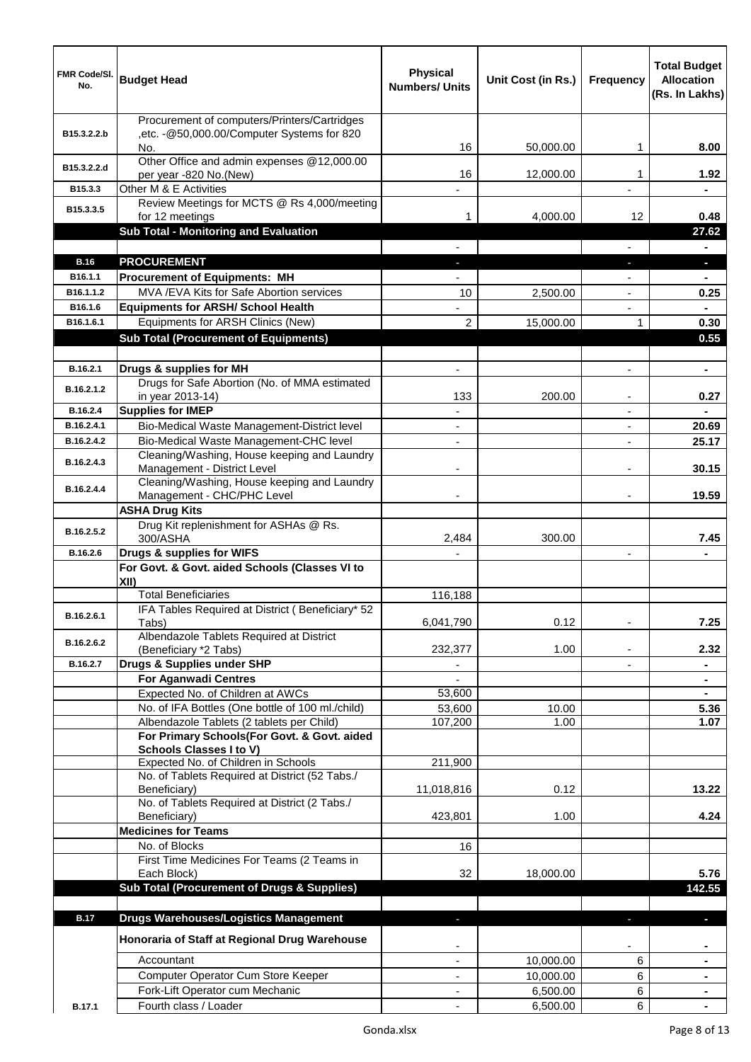| FMR Code/SI.<br>No. | <b>Budget Head</b>                                                            | <b>Physical</b><br><b>Numbers/ Units</b> | Unit Cost (in Rs.) | <b>Frequency</b>         | <b>Total Budget</b><br><b>Allocation</b><br>(Rs. In Lakhs) |
|---------------------|-------------------------------------------------------------------------------|------------------------------------------|--------------------|--------------------------|------------------------------------------------------------|
|                     | Procurement of computers/Printers/Cartridges                                  |                                          |                    |                          |                                                            |
| B15.3.2.2.b         | ,etc. - @50,000.00/Computer Systems for 820<br>No.                            | 16                                       |                    | 1                        | 8.00                                                       |
|                     | Other Office and admin expenses @12,000.00                                    |                                          | 50,000.00          |                          |                                                            |
| B15.3.2.2.d         | per year -820 No.(New)                                                        | 16                                       | 12,000.00          | 1                        | 1.92                                                       |
| B15.3.3             | Other M & E Activities                                                        |                                          |                    |                          |                                                            |
| B15.3.3.5           | Review Meetings for MCTS @ Rs 4,000/meeting<br>for 12 meetings                | 1                                        | 4,000.00           | 12                       | 0.48                                                       |
|                     | Sub Total - Monitoring and Evaluation                                         |                                          |                    |                          | 27.62                                                      |
|                     |                                                                               |                                          |                    | $\overline{\phantom{0}}$ | $\blacksquare$                                             |
| <b>B.16</b>         | <b>PROCUREMENT</b>                                                            | $\overline{\phantom{a}}$                 |                    | E.                       | $\blacksquare$                                             |
| B16.1.1             | <b>Procurement of Equipments: MH</b>                                          |                                          |                    |                          | $\blacksquare$                                             |
| B16.1.1.2           | MVA /EVA Kits for Safe Abortion services                                      | 10                                       | 2,500.00           | ٠                        | 0.25                                                       |
| B16.1.6             | <b>Equipments for ARSH/ School Health</b>                                     |                                          |                    | $\blacksquare$           | $\blacksquare$                                             |
| B16.1.6.1           | Equipments for ARSH Clinics (New)                                             | $\overline{2}$                           | 15,000.00          | 1                        | 0.30                                                       |
|                     | <b>Sub Total (Procurement of Equipments)</b>                                  |                                          |                    |                          | 0.55                                                       |
| B.16.2.1            | Drugs & supplies for MH                                                       |                                          |                    |                          | $\blacksquare$                                             |
|                     | Drugs for Safe Abortion (No. of MMA estimated                                 |                                          |                    |                          |                                                            |
| B.16.2.1.2          | in year 2013-14)                                                              | 133                                      | 200.00             |                          | 0.27                                                       |
| B.16.2.4            | <b>Supplies for IMEP</b>                                                      |                                          |                    |                          |                                                            |
| B.16.2.4.1          | Bio-Medical Waste Management-District level                                   |                                          |                    |                          | 20.69                                                      |
| B.16.2.4.2          | Bio-Medical Waste Management-CHC level                                        |                                          |                    |                          | 25.17                                                      |
| B.16.2.4.3          | Cleaning/Washing, House keeping and Laundry                                   |                                          |                    |                          | 30.15                                                      |
|                     | Management - District Level<br>Cleaning/Washing, House keeping and Laundry    |                                          |                    |                          |                                                            |
| B.16.2.4.4          | Management - CHC/PHC Level                                                    |                                          |                    |                          | 19.59                                                      |
|                     | <b>ASHA Drug Kits</b>                                                         |                                          |                    |                          |                                                            |
| B.16.2.5.2          | Drug Kit replenishment for ASHAs @ Rs.                                        |                                          |                    |                          |                                                            |
|                     | 300/ASHA                                                                      | 2,484                                    | 300.00             |                          | 7.45                                                       |
| B.16.2.6            | Drugs & supplies for WIFS<br>For Govt. & Govt. aided Schools (Classes VI to   |                                          |                    |                          |                                                            |
|                     | XII)                                                                          |                                          |                    |                          |                                                            |
|                     | <b>Total Beneficiaries</b>                                                    | 116,188                                  |                    |                          |                                                            |
| B.16.2.6.1          | IFA Tables Required at District (Beneficiary* 52                              |                                          |                    |                          |                                                            |
|                     | Tabs)                                                                         | 6,041,790                                | 0.12               |                          | 7.25                                                       |
| B.16.2.6.2          | Albendazole Tablets Required at District<br>(Beneficiary *2 Tabs)             | 232,377                                  | 1.00               |                          | 2.32                                                       |
| B.16.2.7            | Drugs & Supplies under SHP                                                    |                                          |                    |                          | $\blacksquare$                                             |
|                     | <b>For Aganwadi Centres</b>                                                   |                                          |                    |                          |                                                            |
|                     | Expected No. of Children at AWCs                                              | 53,600                                   |                    |                          | $\blacksquare$                                             |
|                     | No. of IFA Bottles (One bottle of 100 ml./child)                              | 53,600                                   | 10.00              |                          | 5.36                                                       |
|                     | Albendazole Tablets (2 tablets per Child)                                     | 107,200                                  | 1.00               |                          | 1.07                                                       |
|                     | For Primary Schools(For Govt. & Govt. aided<br><b>Schools Classes I to V)</b> |                                          |                    |                          |                                                            |
|                     | Expected No. of Children in Schools                                           | 211,900                                  |                    |                          |                                                            |
|                     | No. of Tablets Required at District (52 Tabs./                                |                                          |                    |                          |                                                            |
|                     | Beneficiary)                                                                  | 11,018,816                               | 0.12               |                          | 13.22                                                      |
|                     | No. of Tablets Required at District (2 Tabs./<br>Beneficiary)                 | 423,801                                  | 1.00               |                          | 4.24                                                       |
|                     | <b>Medicines for Teams</b>                                                    |                                          |                    |                          |                                                            |
|                     | No. of Blocks                                                                 | 16                                       |                    |                          |                                                            |
|                     | First Time Medicines For Teams (2 Teams in                                    |                                          |                    |                          |                                                            |
|                     | Each Block)                                                                   | 32                                       | 18,000.00          |                          | 5.76                                                       |
|                     | <b>Sub Total (Procurement of Drugs &amp; Supplies)</b>                        |                                          |                    |                          | 142.55                                                     |
|                     |                                                                               |                                          |                    |                          |                                                            |
| <b>B.17</b>         | <b>Drugs Warehouses/Logistics Management</b>                                  | $\blacksquare$                           |                    |                          | ٠                                                          |
|                     | Honoraria of Staff at Regional Drug Warehouse                                 |                                          |                    |                          |                                                            |
|                     | Accountant                                                                    |                                          | 10,000.00          | 6                        |                                                            |
|                     | Computer Operator Cum Store Keeper                                            |                                          | 10,000.00          | 6                        |                                                            |
|                     | Fork-Lift Operator cum Mechanic                                               |                                          | 6,500.00           | 6                        |                                                            |
| <b>B.17.1</b>       | Fourth class / Loader                                                         |                                          | 6,500.00           | 6                        |                                                            |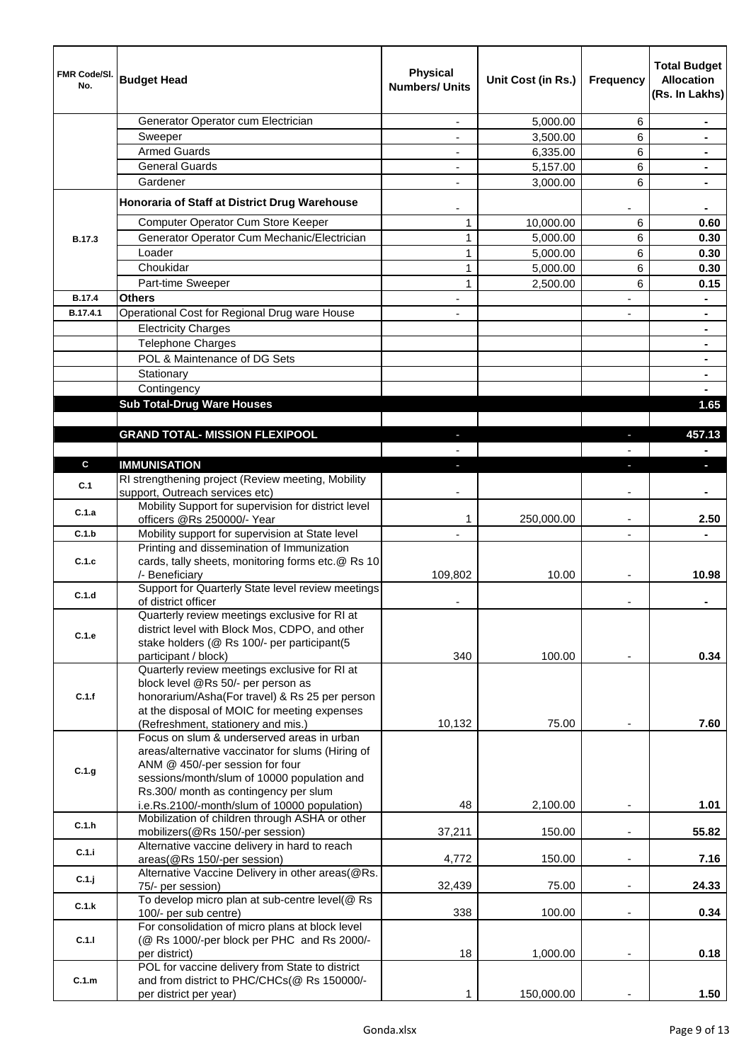| <b>FMR Code/SI.</b><br>No. | <b>Budget Head</b>                                                                                                                             | <b>Physical</b><br><b>Numbers/ Units</b> | Unit Cost (in Rs.) | Frequency                | <b>Total Budget</b><br><b>Allocation</b><br>(Rs. In Lakhs) |
|----------------------------|------------------------------------------------------------------------------------------------------------------------------------------------|------------------------------------------|--------------------|--------------------------|------------------------------------------------------------|
|                            | Generator Operator cum Electrician                                                                                                             |                                          | 5,000.00           | 6                        |                                                            |
|                            | Sweeper                                                                                                                                        |                                          | 3,500.00           | 6                        |                                                            |
|                            | <b>Armed Guards</b>                                                                                                                            |                                          | 6,335.00           | 6                        | $\blacksquare$                                             |
|                            | <b>General Guards</b>                                                                                                                          |                                          | 5,157.00           | 6                        | $\blacksquare$                                             |
|                            | Gardener                                                                                                                                       |                                          | 3,000.00           | 6                        |                                                            |
|                            | Honoraria of Staff at District Drug Warehouse                                                                                                  |                                          |                    |                          |                                                            |
|                            | Computer Operator Cum Store Keeper                                                                                                             | 1                                        | 10,000.00          | 6                        | 0.60                                                       |
| B.17.3                     | Generator Operator Cum Mechanic/Electrician                                                                                                    | 1                                        | 5,000.00           | 6                        | 0.30                                                       |
|                            | Loader                                                                                                                                         | $\mathbf{1}$                             | 5,000.00           | 6                        | 0.30                                                       |
|                            | Choukidar                                                                                                                                      | $\mathbf{1}$                             | 5,000.00           | 6                        | 0.30                                                       |
|                            | Part-time Sweeper                                                                                                                              | $\mathbf{1}$                             | 2,500.00           | 6                        | 0.15                                                       |
| <b>B.17.4</b>              | <b>Others</b>                                                                                                                                  |                                          |                    |                          |                                                            |
| B.17.4.1                   | Operational Cost for Regional Drug ware House                                                                                                  |                                          |                    |                          |                                                            |
|                            | <b>Electricity Charges</b>                                                                                                                     |                                          |                    |                          |                                                            |
|                            | <b>Telephone Charges</b>                                                                                                                       |                                          |                    |                          |                                                            |
|                            | POL & Maintenance of DG Sets                                                                                                                   |                                          |                    |                          |                                                            |
|                            | Stationary                                                                                                                                     |                                          |                    |                          |                                                            |
|                            |                                                                                                                                                |                                          |                    |                          |                                                            |
|                            | Contingency                                                                                                                                    |                                          |                    |                          |                                                            |
|                            | <b>Sub Total-Drug Ware Houses</b>                                                                                                              |                                          |                    |                          | 1.65                                                       |
|                            |                                                                                                                                                |                                          |                    |                          |                                                            |
|                            | <b>GRAND TOTAL- MISSION FLEXIPOOL</b>                                                                                                          |                                          |                    |                          | 457.13                                                     |
| C                          |                                                                                                                                                |                                          |                    |                          |                                                            |
|                            | <b>IMMUNISATION</b><br>RI strengthening project (Review meeting, Mobility                                                                      |                                          |                    |                          | Ξ.                                                         |
| C.1                        | support, Outreach services etc)                                                                                                                |                                          |                    |                          |                                                            |
|                            | Mobility Support for supervision for district level                                                                                            |                                          |                    |                          |                                                            |
| C.1.a                      | officers @Rs 250000/- Year                                                                                                                     | 1                                        | 250,000.00         | $\overline{\phantom{a}}$ | 2.50                                                       |
| C.1.b                      | Mobility support for supervision at State level                                                                                                | $\overline{\phantom{a}}$                 |                    | $\blacksquare$           |                                                            |
|                            | Printing and dissemination of Immunization                                                                                                     |                                          |                    |                          |                                                            |
| C.1.c                      | cards, tally sheets, monitoring forms etc.@ Rs 10                                                                                              |                                          |                    |                          |                                                            |
|                            | /- Beneficiary                                                                                                                                 | 109,802                                  | 10.00              |                          | 10.98                                                      |
| C.1.d                      | Support for Quarterly State level review meetings                                                                                              |                                          |                    |                          |                                                            |
|                            | of district officer                                                                                                                            |                                          |                    |                          |                                                            |
| C.1.e                      | Quarterly review meetings exclusive for RI at<br>district level with Block Mos, CDPO, and other<br>stake holders (@ Rs 100/- per participant(5 |                                          |                    |                          |                                                            |
|                            | participant / block)                                                                                                                           | 340                                      | 100.00             |                          | 0.34                                                       |
|                            | Quarterly review meetings exclusive for RI at                                                                                                  |                                          |                    |                          |                                                            |
| C.1.f                      | block level @Rs 50/- per person as<br>honorarium/Asha(For travel) & Rs 25 per person                                                           |                                          |                    |                          |                                                            |
|                            | at the disposal of MOIC for meeting expenses<br>(Refreshment, stationery and mis.)                                                             | 10,132                                   | 75.00              |                          | 7.60                                                       |
|                            | Focus on slum & underserved areas in urban                                                                                                     |                                          |                    |                          |                                                            |
|                            | areas/alternative vaccinator for slums (Hiring of                                                                                              |                                          |                    |                          |                                                            |
| C.1.g                      | ANM @ 450/-per session for four<br>sessions/month/slum of 10000 population and                                                                 |                                          |                    |                          |                                                            |
|                            | Rs.300/ month as contingency per slum                                                                                                          |                                          |                    |                          |                                                            |
|                            | i.e.Rs.2100/-month/slum of 10000 population)                                                                                                   | 48                                       | 2,100.00           |                          | 1.01                                                       |
|                            | Mobilization of children through ASHA or other                                                                                                 |                                          |                    |                          |                                                            |
| C.1.h                      | mobilizers(@Rs 150/-per session)                                                                                                               | 37,211                                   | 150.00             |                          | 55.82                                                      |
| C.1.i                      | Alternative vaccine delivery in hard to reach                                                                                                  |                                          |                    |                          |                                                            |
|                            | areas(@Rs 150/-per session)                                                                                                                    | 4,772                                    | 150.00             | $\overline{\phantom{a}}$ | 7.16                                                       |
| $C.1$ .j                   | Alternative Vaccine Delivery in other areas(@Rs.<br>75/- per session)                                                                          | 32,439                                   | 75.00              | $\overline{\phantom{a}}$ | 24.33                                                      |
|                            | To develop micro plan at sub-centre level(@ Rs                                                                                                 |                                          |                    |                          |                                                            |
| C.1.k                      | 100/- per sub centre)                                                                                                                          | 338                                      | 100.00             | $\overline{\phantom{a}}$ | 0.34                                                       |
|                            | For consolidation of micro plans at block level                                                                                                |                                          |                    |                          |                                                            |
| C.1.1                      | (@ Rs 1000/-per block per PHC and Rs 2000/-                                                                                                    |                                          |                    |                          |                                                            |
|                            | per district)                                                                                                                                  | 18                                       | 1,000.00           |                          | 0.18                                                       |
|                            | POL for vaccine delivery from State to district                                                                                                |                                          |                    |                          |                                                            |
| C.1.m                      | and from district to PHC/CHCs(@ Rs 150000/-<br>per district per year)                                                                          | 1                                        | 150,000.00         |                          | 1.50                                                       |
|                            |                                                                                                                                                |                                          |                    |                          |                                                            |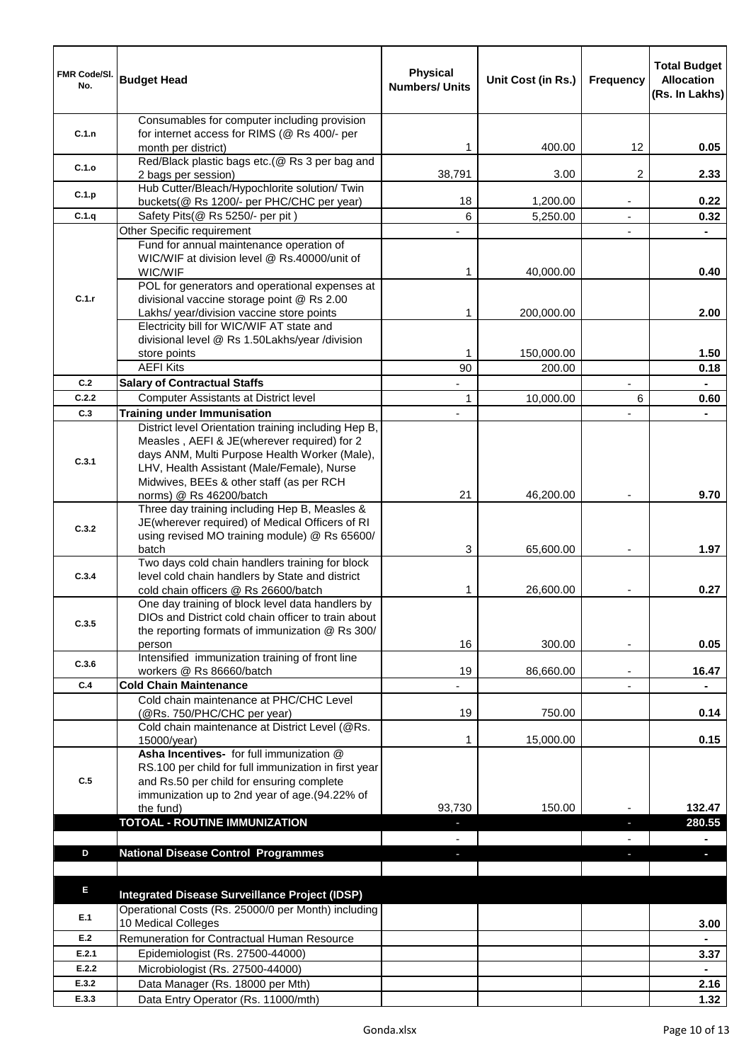| FMR Code/SI.<br>No. | <b>Budget Head</b>                                                                                | <b>Physical</b><br><b>Numbers/ Units</b> | Unit Cost (in Rs.) | Frequency                | <b>Total Budget</b><br><b>Allocation</b><br>(Rs. In Lakhs) |
|---------------------|---------------------------------------------------------------------------------------------------|------------------------------------------|--------------------|--------------------------|------------------------------------------------------------|
|                     | Consumables for computer including provision                                                      |                                          |                    |                          |                                                            |
| C.1.n               | for internet access for RIMS (@ Rs 400/- per<br>month per district)                               | 1                                        | 400.00             | 12                       | 0.05                                                       |
|                     | Red/Black plastic bags etc.(@ Rs 3 per bag and                                                    |                                          |                    |                          |                                                            |
| C.1.o               | 2 bags per session)                                                                               | 38,791                                   | 3.00               | 2                        | 2.33                                                       |
| C.1.p               | Hub Cutter/Bleach/Hypochlorite solution/ Twin<br>buckets(@ Rs 1200/- per PHC/CHC per year)        | 18                                       | 1,200.00           | $\overline{\phantom{a}}$ | 0.22                                                       |
| C.1.q               | Safety Pits(@ Rs 5250/- per pit)                                                                  | 6                                        | 5,250.00           | $\blacksquare$           | 0.32                                                       |
|                     | Other Specific requirement                                                                        |                                          |                    | $\overline{a}$           |                                                            |
|                     | Fund for annual maintenance operation of                                                          |                                          |                    |                          |                                                            |
|                     | WIC/WIF at division level @ Rs.40000/unit of<br>WIC/WIF                                           | 1                                        | 40,000.00          |                          | 0.40                                                       |
|                     | POL for generators and operational expenses at                                                    |                                          |                    |                          |                                                            |
| C.1.r               | divisional vaccine storage point @ Rs 2.00                                                        |                                          |                    |                          |                                                            |
|                     | Lakhs/ year/division vaccine store points                                                         | 1                                        | 200,000.00         |                          | 2.00                                                       |
|                     | Electricity bill for WIC/WIF AT state and<br>divisional level @ Rs 1.50Lakhs/year /division       |                                          |                    |                          |                                                            |
|                     | store points                                                                                      | 1                                        | 150,000.00         |                          | 1.50                                                       |
|                     | <b>AEFI Kits</b>                                                                                  | 90                                       | 200.00             |                          | 0.18                                                       |
| C.2                 | <b>Salary of Contractual Staffs</b>                                                               | $\overline{\phantom{a}}$                 |                    | $\blacksquare$           | $\blacksquare$                                             |
| C.2.2<br>C.3        | Computer Assistants at District level<br><b>Training under Immunisation</b>                       | 1<br>$\overline{\phantom{a}}$            | 10,000.00          | 6                        | 0.60<br>$\blacksquare$                                     |
|                     | District level Orientation training including Hep B,                                              |                                          |                    |                          |                                                            |
|                     | Measles, AEFI & JE(wherever required) for 2                                                       |                                          |                    |                          |                                                            |
| C.3.1               | days ANM, Multi Purpose Health Worker (Male),                                                     |                                          |                    |                          |                                                            |
|                     | LHV, Health Assistant (Male/Female), Nurse<br>Midwives, BEEs & other staff (as per RCH            |                                          |                    |                          |                                                            |
|                     | norms) @ Rs 46200/batch                                                                           | 21                                       | 46,200.00          |                          | 9.70                                                       |
|                     | Three day training including Hep B, Measles &                                                     |                                          |                    |                          |                                                            |
| C.3.2               | JE(wherever required) of Medical Officers of RI                                                   |                                          |                    |                          |                                                            |
|                     | using revised MO training module) @ Rs 65600/<br>batch                                            | 3                                        | 65,600.00          |                          | 1.97                                                       |
|                     | Two days cold chain handlers training for block                                                   |                                          |                    |                          |                                                            |
| C.3.4               | level cold chain handlers by State and district                                                   |                                          |                    |                          |                                                            |
|                     | cold chain officers @ Rs 26600/batch<br>One day training of block level data handlers by          | 1                                        | 26,600.00          |                          | 0.27                                                       |
| C.3.5               | DIOs and District cold chain officer to train about                                               |                                          |                    |                          |                                                            |
|                     | the reporting formats of immunization @ Rs 300/                                                   |                                          |                    |                          |                                                            |
|                     | person<br>Intensified immunization training of front line                                         | 16                                       | 300.00             |                          | 0.05                                                       |
| C.3.6               | workers @ Rs 86660/batch                                                                          | 19                                       | 86,660.00          | $\blacksquare$           | 16.47                                                      |
| C.4                 | <b>Cold Chain Maintenance</b>                                                                     |                                          |                    | $\blacksquare$           |                                                            |
|                     | Cold chain maintenance at PHC/CHC Level                                                           |                                          |                    |                          |                                                            |
|                     | (@Rs. 750/PHC/CHC per year)<br>Cold chain maintenance at District Level (@Rs.                     | 19                                       | 750.00             |                          | 0.14                                                       |
|                     | 15000/year)                                                                                       | 1                                        | 15,000.00          |                          | 0.15                                                       |
|                     | Asha Incentives- for full immunization @                                                          |                                          |                    |                          |                                                            |
| C.5                 | RS.100 per child for full immunization in first year<br>and Rs.50 per child for ensuring complete |                                          |                    |                          |                                                            |
|                     | immunization up to 2nd year of age.(94.22% of                                                     |                                          |                    |                          |                                                            |
|                     | the fund)                                                                                         | 93,730                                   | 150.00             |                          | 132.47                                                     |
|                     | <b>TOTOAL - ROUTINE IMMUNIZATION</b>                                                              |                                          |                    | E.                       | 280.55                                                     |
| D                   |                                                                                                   |                                          |                    |                          | ٠                                                          |
|                     | <b>National Disease Control Programmes</b>                                                        |                                          |                    |                          |                                                            |
|                     |                                                                                                   |                                          |                    |                          |                                                            |
| E.                  | Integrated Disease Surveillance Project (IDSP)                                                    |                                          |                    |                          |                                                            |
| E.1                 | Operational Costs (Rs. 25000/0 per Month) including<br>10 Medical Colleges                        |                                          |                    |                          |                                                            |
| E.2                 | Remuneration for Contractual Human Resource                                                       |                                          |                    |                          | 3.00                                                       |
| E.2.1               | Epidemiologist (Rs. 27500-44000)                                                                  |                                          |                    |                          | 3.37                                                       |
| E.2.2               | Microbiologist (Rs. 27500-44000)                                                                  |                                          |                    |                          |                                                            |
| E.3.2               | Data Manager (Rs. 18000 per Mth)                                                                  |                                          |                    |                          | 2.16                                                       |
| E.3.3               | Data Entry Operator (Rs. 11000/mth)                                                               |                                          |                    |                          | 1.32                                                       |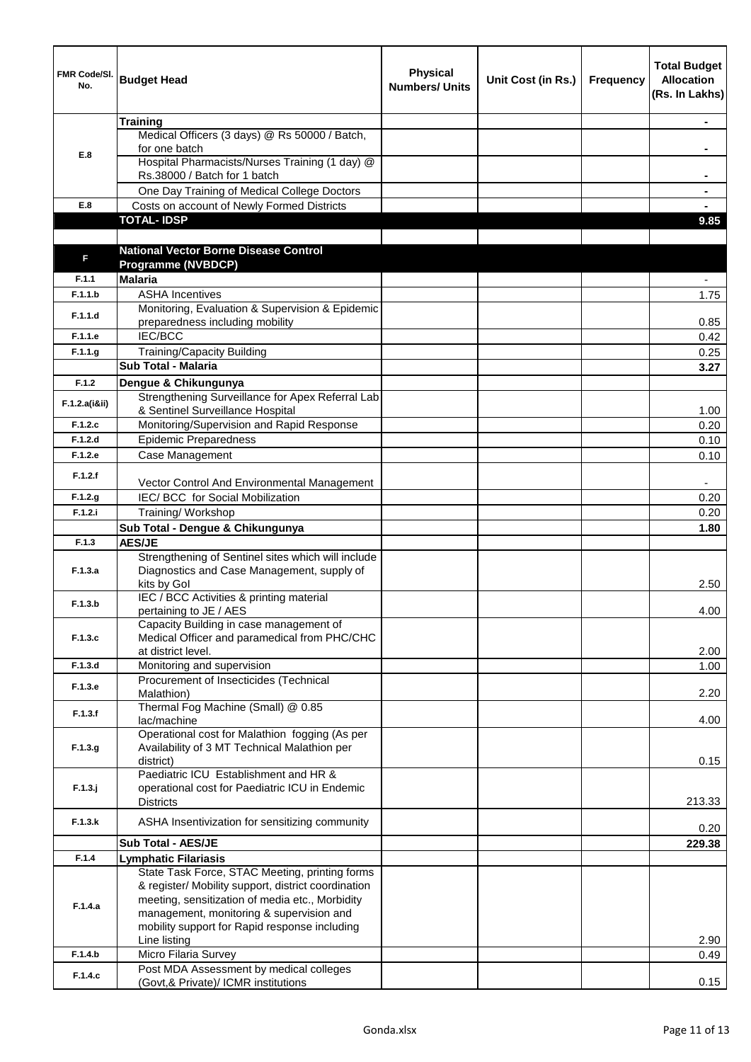| FMR Code/SI.<br>No. | <b>Budget Head</b>                                                                             | <b>Physical</b><br><b>Numbers/ Units</b> | Unit Cost (in Rs.) | <b>Frequency</b> | <b>Total Budget</b><br><b>Allocation</b><br>(Rs. In Lakhs) |
|---------------------|------------------------------------------------------------------------------------------------|------------------------------------------|--------------------|------------------|------------------------------------------------------------|
|                     | <b>Training</b>                                                                                |                                          |                    |                  |                                                            |
|                     | Medical Officers (3 days) @ Rs 50000 / Batch,                                                  |                                          |                    |                  |                                                            |
|                     | for one batch                                                                                  |                                          |                    |                  | ٠                                                          |
| E.8                 | Hospital Pharmacists/Nurses Training (1 day) @                                                 |                                          |                    |                  |                                                            |
|                     | Rs.38000 / Batch for 1 batch                                                                   |                                          |                    |                  |                                                            |
|                     | One Day Training of Medical College Doctors                                                    |                                          |                    |                  |                                                            |
| E.8                 | Costs on account of Newly Formed Districts                                                     |                                          |                    |                  |                                                            |
|                     | <b>TOTAL-IDSP</b>                                                                              |                                          |                    |                  | 9.85                                                       |
|                     |                                                                                                |                                          |                    |                  |                                                            |
|                     | <b>National Vector Borne Disease Control</b>                                                   |                                          |                    |                  |                                                            |
| F                   | <b>Programme (NVBDCP)</b>                                                                      |                                          |                    |                  |                                                            |
| F.1.1               | <b>Malaria</b>                                                                                 |                                          |                    |                  |                                                            |
| F.1.1.b             | <b>ASHA Incentives</b>                                                                         |                                          |                    |                  | 1.75                                                       |
|                     | Monitoring, Evaluation & Supervision & Epidemic                                                |                                          |                    |                  |                                                            |
| F.1.1.d             | preparedness including mobility                                                                |                                          |                    |                  | 0.85                                                       |
| F.1.1.e             | IEC/BCC                                                                                        |                                          |                    |                  | 0.42                                                       |
| F.1.1.g             | <b>Training/Capacity Building</b>                                                              |                                          |                    |                  | 0.25                                                       |
|                     | Sub Total - Malaria                                                                            |                                          |                    |                  | 3.27                                                       |
| F.1.2               | Dengue & Chikungunya                                                                           |                                          |                    |                  |                                                            |
|                     | Strengthening Surveillance for Apex Referral Lab                                               |                                          |                    |                  |                                                            |
| F.1.2.a(iⅈ)         | & Sentinel Surveillance Hospital                                                               |                                          |                    |                  | 1.00                                                       |
| F.1.2.c             | Monitoring/Supervision and Rapid Response                                                      |                                          |                    |                  | 0.20                                                       |
| F.1.2.d             | <b>Epidemic Preparedness</b>                                                                   |                                          |                    |                  | 0.10                                                       |
| F.1.2.e             | Case Management                                                                                |                                          |                    |                  |                                                            |
|                     |                                                                                                |                                          |                    |                  | 0.10                                                       |
| F.1.2.f             | Vector Control And Environmental Management                                                    |                                          |                    |                  |                                                            |
| F.1.2.g             | IEC/ BCC for Social Mobilization                                                               |                                          |                    |                  | 0.20                                                       |
| F.1.2.i             | Training/ Workshop                                                                             |                                          |                    |                  | 0.20                                                       |
|                     |                                                                                                |                                          |                    |                  |                                                            |
| F.1.3               | Sub Total - Dengue & Chikungunya                                                               |                                          |                    |                  | 1.80                                                       |
|                     | <b>AES/JE</b><br>Strengthening of Sentinel sites which will include                            |                                          |                    |                  |                                                            |
| F.1.3.a             | Diagnostics and Case Management, supply of                                                     |                                          |                    |                  |                                                            |
|                     | kits by Gol                                                                                    |                                          |                    |                  | 2.50                                                       |
|                     | IEC / BCC Activities & printing material                                                       |                                          |                    |                  |                                                            |
| F.1.3.b             | pertaining to JE / AES                                                                         |                                          |                    |                  | 4.00                                                       |
|                     | Capacity Building in case management of                                                        |                                          |                    |                  |                                                            |
| F.1.3.c             | Medical Officer and paramedical from PHC/CHC                                                   |                                          |                    |                  |                                                            |
|                     | at district level.                                                                             |                                          |                    |                  | 2.00                                                       |
| F.1.3.d             | Monitoring and supervision                                                                     |                                          |                    |                  | 1.00                                                       |
| F.1.3.e             | Procurement of Insecticides (Technical                                                         |                                          |                    |                  |                                                            |
|                     | Malathion)                                                                                     |                                          |                    |                  | 2.20                                                       |
| F.1.3.f             | Thermal Fog Machine (Small) @ 0.85                                                             |                                          |                    |                  |                                                            |
|                     | lac/machine                                                                                    |                                          |                    |                  | 4.00                                                       |
|                     | Operational cost for Malathion fogging (As per<br>Availability of 3 MT Technical Malathion per |                                          |                    |                  |                                                            |
| F.1.3.g.            | district)                                                                                      |                                          |                    |                  | 0.15                                                       |
|                     | Paediatric ICU Establishment and HR &                                                          |                                          |                    |                  |                                                            |
| F.1.3.j             | operational cost for Paediatric ICU in Endemic                                                 |                                          |                    |                  |                                                            |
|                     | <b>Districts</b>                                                                               |                                          |                    |                  | 213.33                                                     |
|                     |                                                                                                |                                          |                    |                  |                                                            |
| F.1.3.k             | ASHA Insentivization for sensitizing community                                                 |                                          |                    |                  | 0.20                                                       |
|                     | Sub Total - AES/JE                                                                             |                                          |                    |                  | 229.38                                                     |
| F.1.4               | <b>Lymphatic Filariasis</b>                                                                    |                                          |                    |                  |                                                            |
|                     | State Task Force, STAC Meeting, printing forms                                                 |                                          |                    |                  |                                                            |
|                     | & register/ Mobility support, district coordination                                            |                                          |                    |                  |                                                            |
| F.1.4.a             | meeting, sensitization of media etc., Morbidity                                                |                                          |                    |                  |                                                            |
|                     | management, monitoring & supervision and                                                       |                                          |                    |                  |                                                            |
|                     | mobility support for Rapid response including                                                  |                                          |                    |                  |                                                            |
|                     | Line listing                                                                                   |                                          |                    |                  | 2.90                                                       |
| F.1.4.b             | Micro Filaria Survey                                                                           |                                          |                    |                  | 0.49                                                       |
| F.1.4.c             | Post MDA Assessment by medical colleges                                                        |                                          |                    |                  |                                                            |
|                     | (Govt,& Private)/ ICMR institutions                                                            |                                          |                    |                  | 0.15                                                       |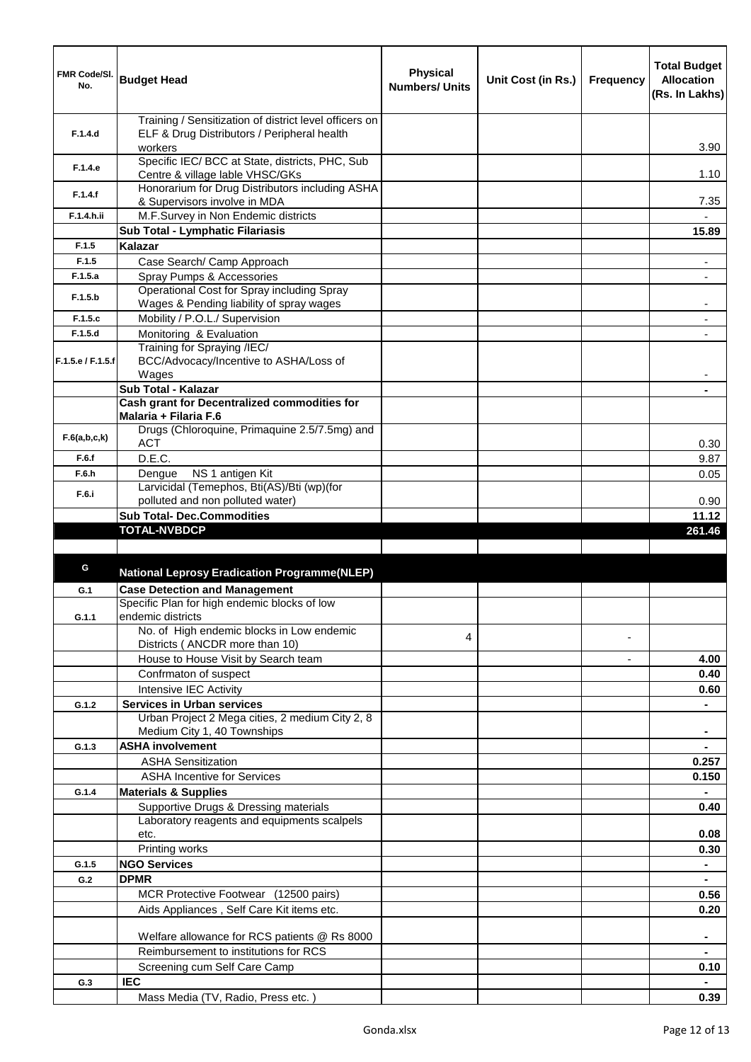| FMR Code/SI.<br>No. | <b>Budget Head</b>                                                                                    | <b>Physical</b><br><b>Numbers/ Units</b> | Unit Cost (in Rs.) | <b>Frequency</b> | <b>Total Budget</b><br><b>Allocation</b><br>(Rs. In Lakhs) |
|---------------------|-------------------------------------------------------------------------------------------------------|------------------------------------------|--------------------|------------------|------------------------------------------------------------|
| F.1.4.d             | Training / Sensitization of district level officers on<br>ELF & Drug Distributors / Peripheral health |                                          |                    |                  |                                                            |
| F.1.4.e             | workers<br>Specific IEC/ BCC at State, districts, PHC, Sub<br>Centre & village lable VHSC/GKs         |                                          |                    |                  | 3.90<br>1.10                                               |
| F.1.4.f             | Honorarium for Drug Distributors including ASHA<br>& Supervisors involve in MDA                       |                                          |                    |                  | 7.35                                                       |
| F.1.4.h.ii          | M.F.Survey in Non Endemic districts                                                                   |                                          |                    |                  |                                                            |
|                     | Sub Total - Lymphatic Filariasis                                                                      |                                          |                    |                  | 15.89                                                      |
| F.1.5               | Kalazar                                                                                               |                                          |                    |                  |                                                            |
| F.1.5               | Case Search/ Camp Approach                                                                            |                                          |                    |                  | $\overline{\phantom{a}}$                                   |
| F.1.5.a             | Spray Pumps & Accessories                                                                             |                                          |                    |                  | $\blacksquare$                                             |
| F.1.5.b             | Operational Cost for Spray including Spray<br>Wages & Pending liability of spray wages                |                                          |                    |                  |                                                            |
| F.1.5.c             | Mobility / P.O.L./ Supervision                                                                        |                                          |                    |                  |                                                            |
| F.1.5.d             | Monitoring & Evaluation                                                                               |                                          |                    |                  |                                                            |
| F.1.5.e / F.1.5.f   | Training for Spraying /IEC/<br>BCC/Advocacy/Incentive to ASHA/Loss of                                 |                                          |                    |                  |                                                            |
|                     | Wages                                                                                                 |                                          |                    |                  |                                                            |
|                     | Sub Total - Kalazar<br>Cash grant for Decentralized commodities for                                   |                                          |                    |                  |                                                            |
|                     | Malaria + Filaria F.6                                                                                 |                                          |                    |                  |                                                            |
| F.6(a,b,c,k)        | Drugs (Chloroquine, Primaquine 2.5/7.5mg) and<br><b>ACT</b>                                           |                                          |                    |                  | 0.30                                                       |
| F.6.f               | D.E.C.                                                                                                |                                          |                    |                  | 9.87                                                       |
| F.6.h               | NS 1 antigen Kit<br>Dengue                                                                            |                                          |                    |                  | 0.05                                                       |
| F.6.i               | Larvicidal (Temephos, Bti(AS)/Bti (wp)(for                                                            |                                          |                    |                  |                                                            |
|                     | polluted and non polluted water)                                                                      |                                          |                    |                  | 0.90                                                       |
|                     | <b>Sub Total- Dec.Commodities</b>                                                                     |                                          |                    |                  | 11.12                                                      |
|                     | <b>TOTAL-NVBDCP</b>                                                                                   |                                          |                    |                  | 261.46                                                     |
|                     |                                                                                                       |                                          |                    |                  |                                                            |
| G                   | <b>National Leprosy Eradication Programme(NLEP)</b>                                                   |                                          |                    |                  |                                                            |
| G.1                 | <b>Case Detection and Management</b>                                                                  |                                          |                    |                  |                                                            |
|                     | Specific Plan for high endemic blocks of low                                                          |                                          |                    |                  |                                                            |
| G.1.1               | endemic districts                                                                                     |                                          |                    |                  |                                                            |
|                     | No. of High endemic blocks in Low endemic<br>Districts ( ANCDR more than 10)                          | 4                                        |                    |                  |                                                            |
|                     | House to House Visit by Search team                                                                   |                                          |                    |                  | 4.00                                                       |
|                     | Confrmaton of suspect                                                                                 |                                          |                    |                  | 0.40                                                       |
|                     | Intensive IEC Activity                                                                                |                                          |                    |                  | 0.60                                                       |
| G.1.2               | <b>Services in Urban services</b>                                                                     |                                          |                    |                  | $\blacksquare$                                             |
|                     | Urban Project 2 Mega cities, 2 medium City 2, 8<br>Medium City 1, 40 Townships                        |                                          |                    |                  | $\blacksquare$                                             |
| G.1.3               | <b>ASHA involvement</b>                                                                               |                                          |                    |                  | $\blacksquare$                                             |
|                     | <b>ASHA Sensitization</b>                                                                             |                                          |                    |                  | 0.257                                                      |
|                     | <b>ASHA Incentive for Services</b>                                                                    |                                          |                    |                  | 0.150                                                      |
| G.1.4               | <b>Materials &amp; Supplies</b>                                                                       |                                          |                    |                  |                                                            |
|                     | Supportive Drugs & Dressing materials                                                                 |                                          |                    |                  | 0.40                                                       |
|                     | Laboratory reagents and equipments scalpels                                                           |                                          |                    |                  |                                                            |
|                     | etc.                                                                                                  |                                          |                    |                  | 0.08                                                       |
|                     | Printing works<br><b>NGO Services</b>                                                                 |                                          |                    |                  | 0.30                                                       |
| G.1.5<br>G.2        | <b>DPMR</b>                                                                                           |                                          |                    |                  |                                                            |
|                     | MCR Protective Footwear (12500 pairs)                                                                 |                                          |                    |                  |                                                            |
|                     | Aids Appliances, Self Care Kit items etc.                                                             |                                          |                    |                  | 0.56<br>0.20                                               |
|                     |                                                                                                       |                                          |                    |                  |                                                            |
|                     | Welfare allowance for RCS patients @ Rs 8000                                                          |                                          |                    |                  | $\blacksquare$                                             |
|                     | Reimbursement to institutions for RCS                                                                 |                                          |                    |                  |                                                            |
|                     | Screening cum Self Care Camp                                                                          |                                          |                    |                  | 0.10                                                       |
| G.3                 | <b>IEC</b>                                                                                            |                                          |                    |                  | $\blacksquare$                                             |
|                     | Mass Media (TV, Radio, Press etc.)                                                                    |                                          |                    |                  | 0.39                                                       |